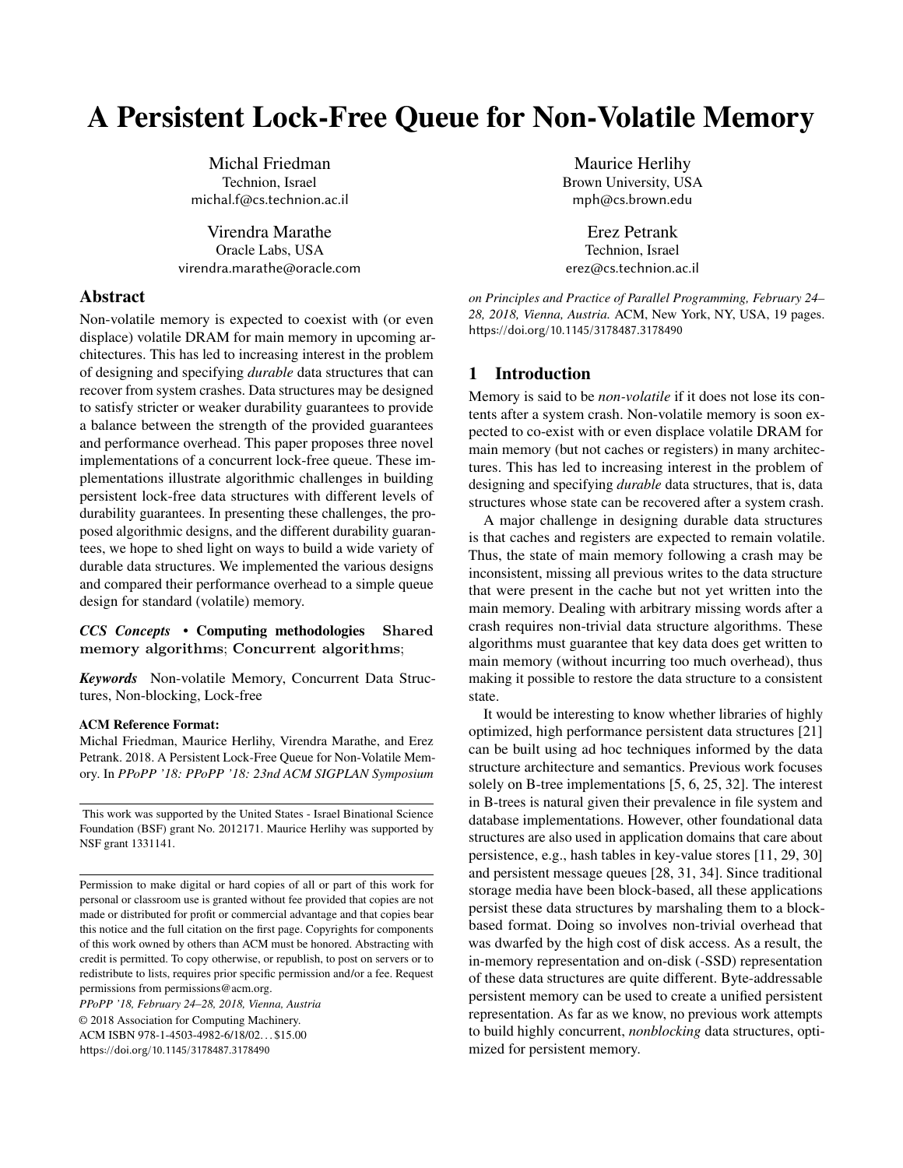# A Persistent Lock-Free Queue for Non-Volatile Memory

Michal Friedman Technion, Israel michal.f@cs.technion.ac.il

Virendra Marathe Oracle Labs, USA virendra.marathe@oracle.com

# **Abstract**

Non-volatile memory is expected to coexist with (or even displace) volatile DRAM for main memory in upcoming architectures. This has led to increasing interest in the problem of designing and specifying *durable* data structures that can recover from system crashes. Data structures may be designed to satisfy stricter or weaker durability guarantees to provide a balance between the strength of the provided guarantees and performance overhead. This paper proposes three novel implementations of a concurrent lock-free queue. These implementations illustrate algorithmic challenges in building persistent lock-free data structures with different levels of durability guarantees. In presenting these challenges, the proposed algorithmic designs, and the different durability guarantees, we hope to shed light on ways to build a wide variety of durable data structures. We implemented the various designs and compared their performance overhead to a simple queue design for standard (volatile) memory.

*CCS Concepts* • Computing methodologies Shared memory algorithms; Concurrent algorithms;

*Keywords* Non-volatile Memory, Concurrent Data Structures, Non-blocking, Lock-free

#### ACM Reference Format:

Michal Friedman, Maurice Herlihy, Virendra Marathe, and Erez Petrank. 2018. A Persistent Lock-Free Queue for Non-Volatile Memory. In *PPoPP '18: PPoPP '18: 23nd ACM SIGPLAN Symposium*

This work was supported by the United States - Israel Binational Science Foundation (BSF) grant No. 2012171. Maurice Herlihy was supported by NSF grant 1331141.

Permission to make digital or hard copies of all or part of this work for personal or classroom use is granted without fee provided that copies are not made or distributed for profit or commercial advantage and that copies bear this notice and the full citation on the first page. Copyrights for components of this work owned by others than ACM must be honored. Abstracting with credit is permitted. To copy otherwise, or republish, to post on servers or to redistribute to lists, requires prior specific permission and/or a fee. Request permissions from permissions@acm.org.

*PPoPP '18, February 24–28, 2018, Vienna, Austria* © 2018 Association for Computing Machinery. ACM ISBN 978-1-4503-4982-6/18/02. . . \$15.00 <https://doi.org/10.1145/3178487.3178490>

Maurice Herlihy Brown University, USA mph@cs.brown.edu

Erez Petrank Technion, Israel erez@cs.technion.ac.il

*on Principles and Practice of Parallel Programming, February 24– 28, 2018, Vienna, Austria.* ACM, New York, NY, USA, [19](#page-18-0) pages. <https://doi.org/10.1145/3178487.3178490>

# 1 Introduction

Memory is said to be *non-volatile* if it does not lose its contents after a system crash. Non-volatile memory is soon expected to co-exist with or even displace volatile DRAM for main memory (but not caches or registers) in many architectures. This has led to increasing interest in the problem of designing and specifying *durable* data structures, that is, data structures whose state can be recovered after a system crash.

A major challenge in designing durable data structures is that caches and registers are expected to remain volatile. Thus, the state of main memory following a crash may be inconsistent, missing all previous writes to the data structure that were present in the cache but not yet written into the main memory. Dealing with arbitrary missing words after a crash requires non-trivial data structure algorithms. These algorithms must guarantee that key data does get written to main memory (without incurring too much overhead), thus making it possible to restore the data structure to a consistent state.

It would be interesting to know whether libraries of highly optimized, high performance persistent data structures [\[21\]](#page-18-1) can be built using ad hoc techniques informed by the data structure architecture and semantics. Previous work focuses solely on B-tree implementations [\[5,](#page-17-0) [6,](#page-17-1) [25,](#page-18-2) [32\]](#page-18-3). The interest in B-trees is natural given their prevalence in file system and database implementations. However, other foundational data structures are also used in application domains that care about persistence, e.g., hash tables in key-value stores [\[11,](#page-17-2) [29,](#page-18-4) [30\]](#page-18-5) and persistent message queues [\[28,](#page-18-6) [31,](#page-18-7) [34\]](#page-18-8). Since traditional storage media have been block-based, all these applications persist these data structures by marshaling them to a blockbased format. Doing so involves non-trivial overhead that was dwarfed by the high cost of disk access. As a result, the in-memory representation and on-disk (-SSD) representation of these data structures are quite different. Byte-addressable persistent memory can be used to create a unified persistent representation. As far as we know, no previous work attempts to build highly concurrent, *nonblocking* data structures, optimized for persistent memory.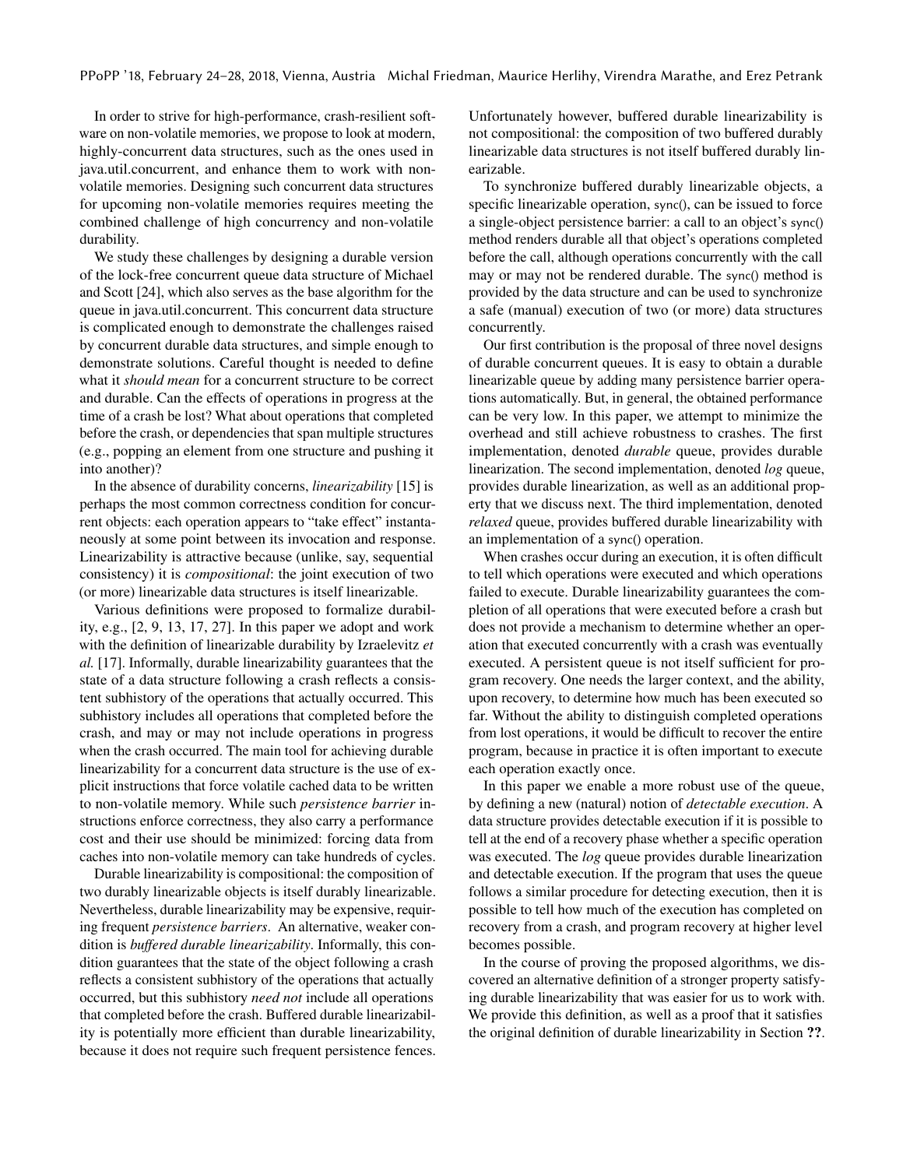In order to strive for high-performance, crash-resilient software on non-volatile memories, we propose to look at modern, highly-concurrent data structures, such as the ones used in java.util.concurrent, and enhance them to work with nonvolatile memories. Designing such concurrent data structures for upcoming non-volatile memories requires meeting the combined challenge of high concurrency and non-volatile durability.

We study these challenges by designing a durable version of the lock-free concurrent queue data structure of Michael and Scott [\[24\]](#page-18-9), which also serves as the base algorithm for the queue in java.util.concurrent. This concurrent data structure is complicated enough to demonstrate the challenges raised by concurrent durable data structures, and simple enough to demonstrate solutions. Careful thought is needed to define what it *should mean* for a concurrent structure to be correct and durable. Can the effects of operations in progress at the time of a crash be lost? What about operations that completed before the crash, or dependencies that span multiple structures (e.g., popping an element from one structure and pushing it into another)?

In the absence of durability concerns, *linearizability* [\[15\]](#page-17-3) is perhaps the most common correctness condition for concurrent objects: each operation appears to "take effect" instantaneously at some point between its invocation and response. Linearizability is attractive because (unlike, say, sequential consistency) it is *compositional*: the joint execution of two (or more) linearizable data structures is itself linearizable.

Various definitions were proposed to formalize durability, e.g., [\[2,](#page-17-4) [9,](#page-17-5) [13,](#page-17-6) [17,](#page-17-7) [27\]](#page-18-10). In this paper we adopt and work with the definition of linearizable durability by Izraelevitz *et al.* [\[17\]](#page-17-7). Informally, durable linearizability guarantees that the state of a data structure following a crash reflects a consistent subhistory of the operations that actually occurred. This subhistory includes all operations that completed before the crash, and may or may not include operations in progress when the crash occurred. The main tool for achieving durable linearizability for a concurrent data structure is the use of explicit instructions that force volatile cached data to be written to non-volatile memory. While such *persistence barrier* instructions enforce correctness, they also carry a performance cost and their use should be minimized: forcing data from caches into non-volatile memory can take hundreds of cycles.

Durable linearizability is compositional: the composition of two durably linearizable objects is itself durably linearizable. Nevertheless, durable linearizability may be expensive, requiring frequent *persistence barriers*. An alternative, weaker condition is *buffered durable linearizability*. Informally, this condition guarantees that the state of the object following a crash reflects a consistent subhistory of the operations that actually occurred, but this subhistory *need not* include all operations that completed before the crash. Buffered durable linearizability is potentially more efficient than durable linearizability, because it does not require such frequent persistence fences.

Unfortunately however, buffered durable linearizability is not compositional: the composition of two buffered durably linearizable data structures is not itself buffered durably linearizable.

To synchronize buffered durably linearizable objects, a specific linearizable operation, sync(), can be issued to force a single-object persistence barrier: a call to an object's sync() method renders durable all that object's operations completed before the call, although operations concurrently with the call may or may not be rendered durable. The sync() method is provided by the data structure and can be used to synchronize a safe (manual) execution of two (or more) data structures concurrently.

Our first contribution is the proposal of three novel designs of durable concurrent queues. It is easy to obtain a durable linearizable queue by adding many persistence barrier operations automatically. But, in general, the obtained performance can be very low. In this paper, we attempt to minimize the overhead and still achieve robustness to crashes. The first implementation, denoted *durable* queue, provides durable linearization. The second implementation, denoted *log* queue, provides durable linearization, as well as an additional property that we discuss next. The third implementation, denoted *relaxed* queue, provides buffered durable linearizability with an implementation of a sync() operation.

When crashes occur during an execution, it is often difficult to tell which operations were executed and which operations failed to execute. Durable linearizability guarantees the completion of all operations that were executed before a crash but does not provide a mechanism to determine whether an operation that executed concurrently with a crash was eventually executed. A persistent queue is not itself sufficient for program recovery. One needs the larger context, and the ability, upon recovery, to determine how much has been executed so far. Without the ability to distinguish completed operations from lost operations, it would be difficult to recover the entire program, because in practice it is often important to execute each operation exactly once.

In this paper we enable a more robust use of the queue, by defining a new (natural) notion of *detectable execution*. A data structure provides detectable execution if it is possible to tell at the end of a recovery phase whether a specific operation was executed. The *log* queue provides durable linearization and detectable execution. If the program that uses the queue follows a similar procedure for detecting execution, then it is possible to tell how much of the execution has completed on recovery from a crash, and program recovery at higher level becomes possible.

In the course of proving the proposed algorithms, we discovered an alternative definition of a stronger property satisfying durable linearizability that was easier for us to work with. We provide this definition, as well as a proof that it satisfies the original definition of durable linearizability in Section ??.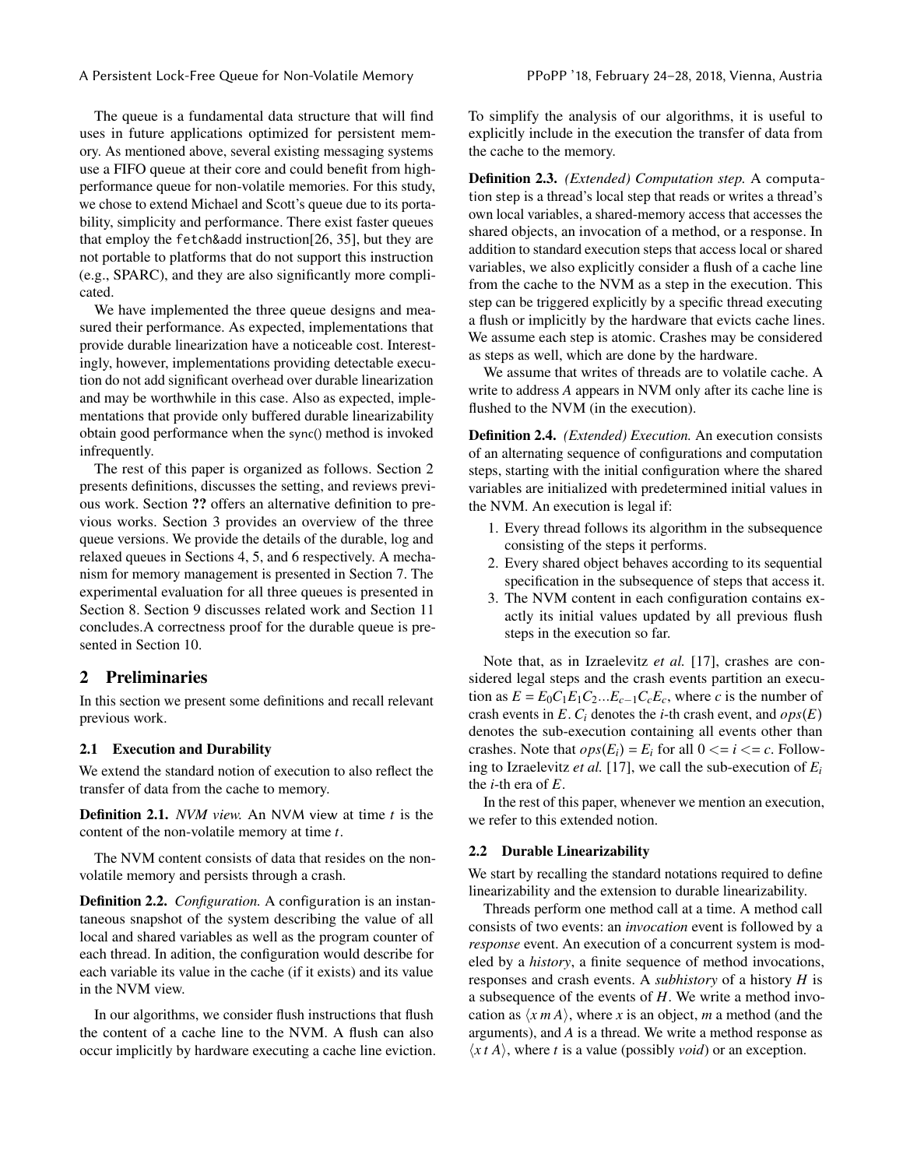The queue is a fundamental data structure that will find uses in future applications optimized for persistent memory. As mentioned above, several existing messaging systems use a FIFO queue at their core and could benefit from highperformance queue for non-volatile memories. For this study, we chose to extend Michael and Scott's queue due to its portability, simplicity and performance. There exist faster queues that employ the fetch&add instruction[\[26,](#page-18-11) [35\]](#page-18-12), but they are not portable to platforms that do not support this instruction (e.g., SPARC), and they are also significantly more complicated.

We have implemented the three queue designs and measured their performance. As expected, implementations that provide durable linearization have a noticeable cost. Interestingly, however, implementations providing detectable execution do not add significant overhead over durable linearization and may be worthwhile in this case. Also as expected, implementations that provide only buffered durable linearizability obtain good performance when the sync() method is invoked infrequently.

The rest of this paper is organized as follows. Section [2](#page-2-0) presents definitions, discusses the setting, and reviews previous work. Section ?? offers an alternative definition to previous works. Section [3](#page-4-0) provides an overview of the three queue versions. We provide the details of the durable, log and relaxed queues in Sections [4,](#page-6-0) [5,](#page-9-0) and [6](#page-11-0) respectively. A mechanism for memory management is presented in Section [7.](#page-14-0) The experimental evaluation for all three queues is presented in Section [8.](#page-14-1) Section [9](#page-16-0) discusses related work and Section [11](#page-17-8) concludes.A correctness proof for the durable queue is presented in Section [10.](#page-17-9)

## <span id="page-2-0"></span>2 Preliminaries

In this section we present some definitions and recall relevant previous work.

## 2.1 Execution and Durability

We extend the standard notion of execution to also reflect the transfer of data from the cache to memory.

Definition 2.1. *NVM view.* An NVM view at time *t* is the content of the non-volatile memory at time *t*.

The NVM content consists of data that resides on the nonvolatile memory and persists through a crash.

Definition 2.2. *Configuration.* A configuration is an instantaneous snapshot of the system describing the value of all local and shared variables as well as the program counter of each thread. In adition, the configuration would describe for each variable its value in the cache (if it exists) and its value in the NVM view.

In our algorithms, we consider flush instructions that flush the content of a cache line to the NVM. A flush can also occur implicitly by hardware executing a cache line eviction. To simplify the analysis of our algorithms, it is useful to explicitly include in the execution the transfer of data from the cache to the memory.

Definition 2.3. *(Extended) Computation step.* A computation step is a thread's local step that reads or writes a thread's own local variables, a shared-memory access that accesses the shared objects, an invocation of a method, or a response. In addition to standard execution steps that access local or shared variables, we also explicitly consider a flush of a cache line from the cache to the NVM as a step in the execution. This step can be triggered explicitly by a specific thread executing a flush or implicitly by the hardware that evicts cache lines. We assume each step is atomic. Crashes may be considered as steps as well, which are done by the hardware.

We assume that writes of threads are to volatile cache. A write to address *A* appears in NVM only after its cache line is flushed to the NVM (in the execution).

Definition 2.4. *(Extended) Execution.* An execution consists of an alternating sequence of configurations and computation steps, starting with the initial configuration where the shared variables are initialized with predetermined initial values in the NVM. An execution is legal if:

- 1. Every thread follows its algorithm in the subsequence consisting of the steps it performs.
- 2. Every shared object behaves according to its sequential specification in the subsequence of steps that access it.
- 3. The NVM content in each configuration contains exactly its initial values updated by all previous flush steps in the execution so far.

Note that, as in Izraelevitz *et al.* [\[17\]](#page-17-7), crashes are considered legal steps and the crash events partition an execution as  $E = E_0 C_1 E_1 C_2 ... E_{c-1} C_c E_c$ , where *c* is the number of crash events in  $E$ .  $C_i$  denotes the *i*-th crash event, and  $ops(E)$ denotes the sub-execution containing all events other than crashes. Note that  $ops(E_i) = E_i$  for all  $0 \le i \le c$ . Following to Izraelevitz *et al.* [\[17\]](#page-17-7), we call the sub-execution of *E<sup>i</sup>* the *i*-th era of *E*.

In the rest of this paper, whenever we mention an execution, we refer to this extended notion.

### 2.2 Durable Linearizability

We start by recalling the standard notations required to define linearizability and the extension to durable linearizability.

Threads perform one method call at a time. A method call consists of two events: an *invocation* event is followed by a *response* event. An execution of a concurrent system is modeled by a *history*, a finite sequence of method invocations, responses and crash events. A *subhistory* of a history *H* is a subsequence of the events of *H*. We write a method invocation as  $\langle x \, m \, A \rangle$ , where *x* is an object, *m* a method (and the arguments), and *A* is a thread. We write a method response as  $\langle x \, t \, A \rangle$ , where *t* is a value (possibly *void*) or an exception.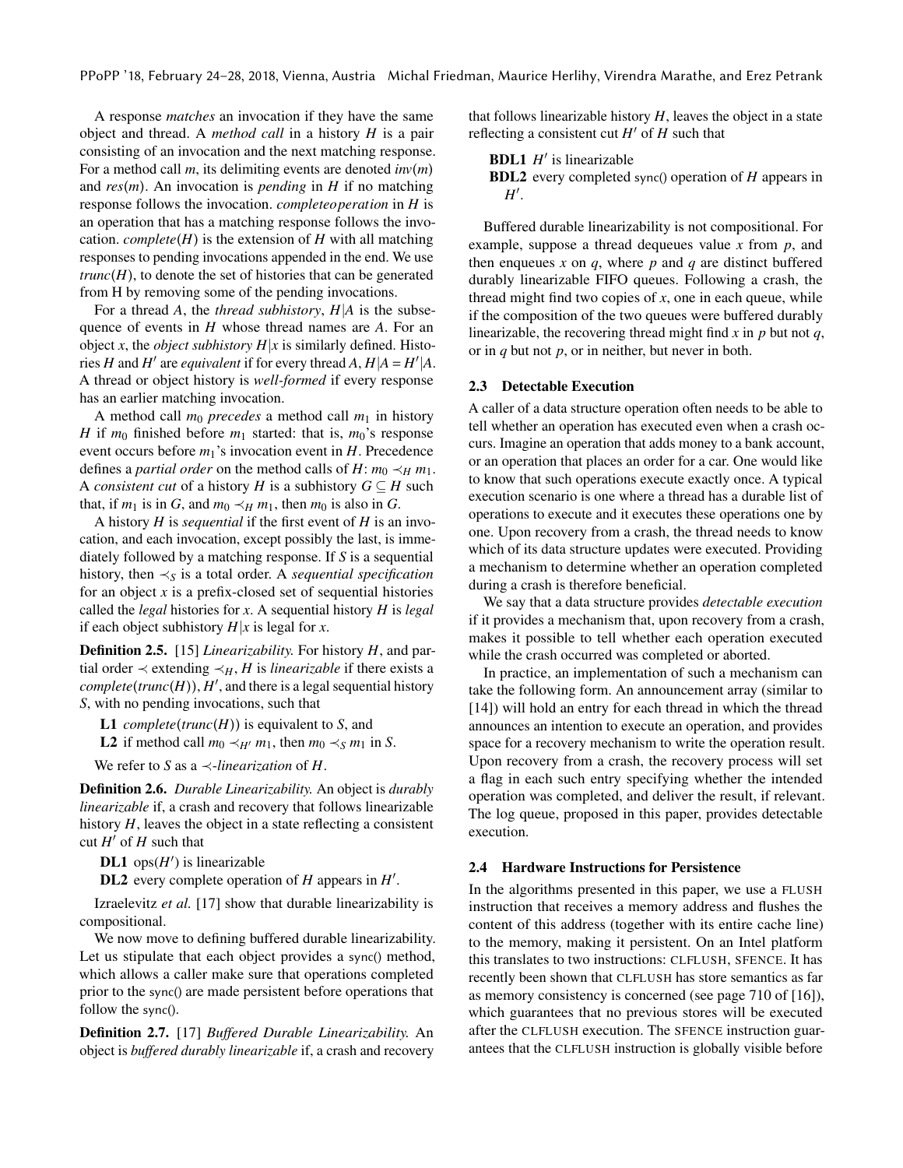PPoPP '18, February 24–28, 2018, Vienna, Austria Michal Friedman, Maurice Herlihy, Virendra Marathe, and Erez Petrank

A response *matches* an invocation if they have the same object and thread. A *method call* in a history *H* is a pair consisting of an invocation and the next matching response. For a method call *m*, its delimiting events are denoted *inv*(*m*) and *res*(*m*). An invocation is *pending* in *H* if no matching response follows the invocation. *completeoperation* in *H* is an operation that has a matching response follows the invocation. *complete*( $H$ ) is the extension of  $H$  with all matching responses to pending invocations appended in the end. We use  $trunc(H)$ , to denote the set of histories that can be generated from H by removing some of the pending invocations.

For a thread *A*, the *thread subhistory*, *H*|*A* is the subsequence of events in *H* whose thread names are *A*. For an object *x*, the *object subhistory*  $H|x$  is similarly defined. Histories *H* and *H'* are *equivalent* if for every thread *A*,  $H|A = H'|A$ . A thread or object history is *well-formed* if every response has an earlier matching invocation.

A method call  $m_0$  *precedes* a method call  $m_1$  in history *H* if  $m_0$  finished before  $m_1$  started: that is,  $m_0$ 's response event occurs before *m*1's invocation event in *H*. Precedence defines a *partial order* on the method calls of *H*:  $m_0 \prec_H m_1$ . A *consistent cut* of a history *H* is a subhistory  $G \subseteq H$  such that, if  $m_1$  is in *G*, and  $m_0 \prec_H m_1$ , then  $m_0$  is also in *G*.

A history *H* is *sequential* if the first event of *H* is an invocation, and each invocation, except possibly the last, is immediately followed by a matching response. If *S* is a sequential history, then ≺*<sup>S</sup>* is a total order. A *sequential specification* for an object *x* is a prefix-closed set of sequential histories called the *legal* histories for *x*. A sequential history *H* is *legal* if each object subhistory  $H|x$  is legal for *x*.

Definition 2.5. [\[15\]](#page-17-3) *Linearizability.* For history *H*, and partial order  $\prec$  extending  $\prec$ <sub>*H</sub>*, *H* is *linearizable* if there exists a</sub>  $complete(true(H)), H'$ , and there is a legal sequential history *S*, with no pending invocations, such that

L1 *complete*( $trunc(H)$ ) is equivalent to *S*, and

**L2** if method call  $m_0 \prec_{H'} m_1$ , then  $m_0 \prec_S m_1$  in *S*.

We refer to *S* as a  $\prec$ -*linearization* of *H*.

Definition 2.6. *Durable Linearizability.* An object is *durably linearizable* if, a crash and recovery that follows linearizable history *H*, leaves the object in a state reflecting a consistent  $cut H'$  of  $H$  such that

**DL1** ops $(H')$  is linearizable

DL2 every complete operation of *H* appears in *H* ′ .

Izraelevitz *et al.* [\[17\]](#page-17-7) show that durable linearizability is compositional.

We now move to defining buffered durable linearizability. Let us stipulate that each object provides a sync() method, which allows a caller make sure that operations completed prior to the sync() are made persistent before operations that follow the sync().

Definition 2.7. [\[17\]](#page-17-7) *Buffered Durable Linearizability.* An object is *buffered durably linearizable* if, a crash and recovery that follows linearizable history  $H$ , leaves the object in a state reflecting a consistent cut  $H'$  of  $H$  such that



Buffered durable linearizability is not compositional. For example, suppose a thread dequeues value *x* from *p*, and then enqueues  $x$  on  $q$ , where  $p$  and  $q$  are distinct buffered durably linearizable FIFO queues. Following a crash, the thread might find two copies of *x*, one in each queue, while if the composition of the two queues were buffered durably linearizable, the recovering thread might find *x* in *p* but not *q*, or in *q* but not *p*, or in neither, but never in both.

### 2.3 Detectable Execution

A caller of a data structure operation often needs to be able to tell whether an operation has executed even when a crash occurs. Imagine an operation that adds money to a bank account, or an operation that places an order for a car. One would like to know that such operations execute exactly once. A typical execution scenario is one where a thread has a durable list of operations to execute and it executes these operations one by one. Upon recovery from a crash, the thread needs to know which of its data structure updates were executed. Providing a mechanism to determine whether an operation completed during a crash is therefore beneficial.

We say that a data structure provides *detectable execution* if it provides a mechanism that, upon recovery from a crash, makes it possible to tell whether each operation executed while the crash occurred was completed or aborted.

In practice, an implementation of such a mechanism can take the following form. An announcement array (similar to [\[14\]](#page-17-10)) will hold an entry for each thread in which the thread announces an intention to execute an operation, and provides space for a recovery mechanism to write the operation result. Upon recovery from a crash, the recovery process will set a flag in each such entry specifying whether the intended operation was completed, and deliver the result, if relevant. The log queue, proposed in this paper, provides detectable execution.

## <span id="page-3-0"></span>2.4 Hardware Instructions for Persistence

In the algorithms presented in this paper, we use a FLUSH instruction that receives a memory address and flushes the content of this address (together with its entire cache line) to the memory, making it persistent. On an Intel platform this translates to two instructions: CLFLUSH, SFENCE. It has recently been shown that CLFLUSH has store semantics as far as memory consistency is concerned (see page 710 of [\[16\]](#page-17-11)), which guarantees that no previous stores will be executed after the CLFLUSH execution. The SFENCE instruction guarantees that the CLFLUSH instruction is globally visible before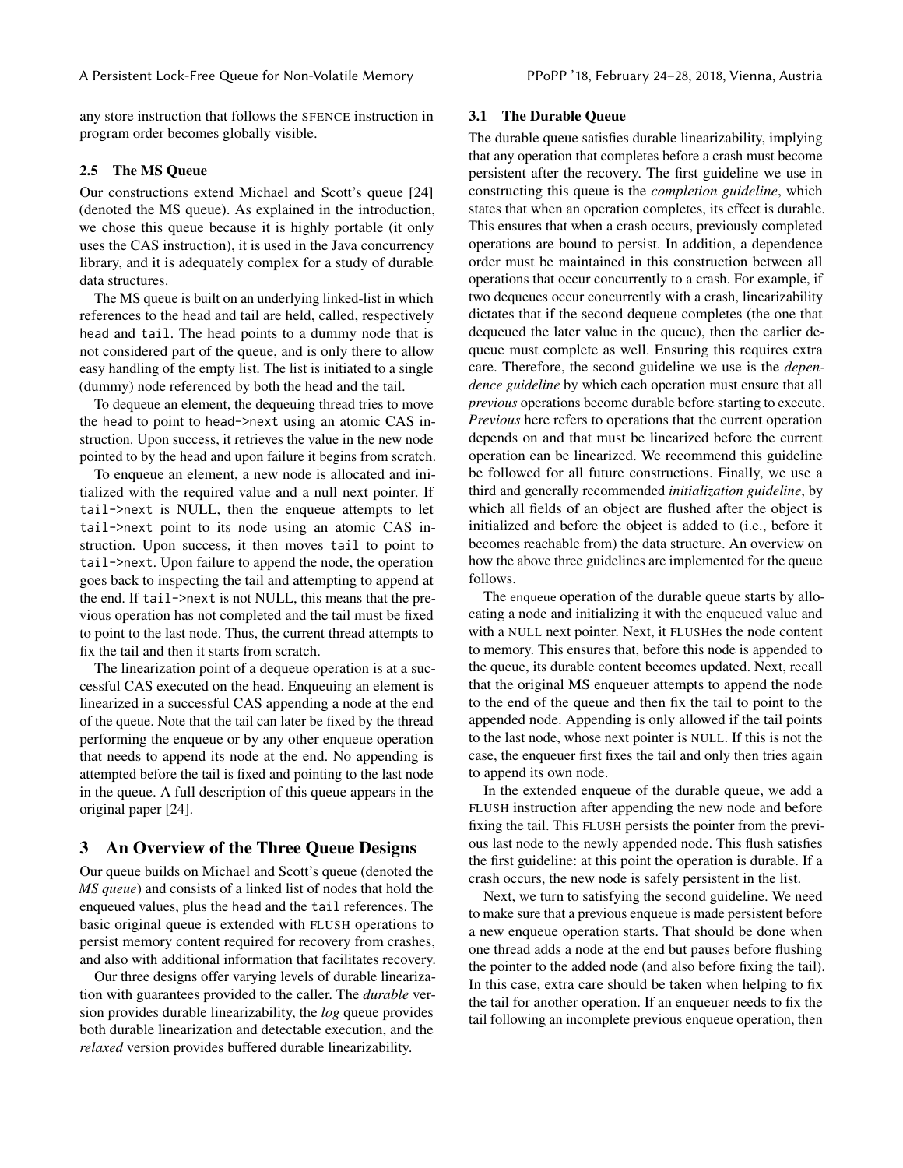any store instruction that follows the SFENCE instruction in program order becomes globally visible.

## 2.5 The MS Queue

Our constructions extend Michael and Scott's queue [\[24\]](#page-18-9) (denoted the MS queue). As explained in the introduction, we chose this queue because it is highly portable (it only uses the CAS instruction), it is used in the Java concurrency library, and it is adequately complex for a study of durable data structures.

The MS queue is built on an underlying linked-list in which references to the head and tail are held, called, respectively head and tail. The head points to a dummy node that is not considered part of the queue, and is only there to allow easy handling of the empty list. The list is initiated to a single (dummy) node referenced by both the head and the tail.

To dequeue an element, the dequeuing thread tries to move the head to point to head->next using an atomic CAS instruction. Upon success, it retrieves the value in the new node pointed to by the head and upon failure it begins from scratch.

To enqueue an element, a new node is allocated and initialized with the required value and a null next pointer. If tail->next is NULL, then the enqueue attempts to let tail->next point to its node using an atomic CAS instruction. Upon success, it then moves tail to point to tail->next. Upon failure to append the node, the operation goes back to inspecting the tail and attempting to append at the end. If tail->next is not NULL, this means that the previous operation has not completed and the tail must be fixed to point to the last node. Thus, the current thread attempts to fix the tail and then it starts from scratch.

The linearization point of a dequeue operation is at a successful CAS executed on the head. Enqueuing an element is linearized in a successful CAS appending a node at the end of the queue. Note that the tail can later be fixed by the thread performing the enqueue or by any other enqueue operation that needs to append its node at the end. No appending is attempted before the tail is fixed and pointing to the last node in the queue. A full description of this queue appears in the original paper [\[24\]](#page-18-9).

## <span id="page-4-0"></span>3 An Overview of the Three Queue Designs

Our queue builds on Michael and Scott's queue (denoted the *MS queue*) and consists of a linked list of nodes that hold the enqueued values, plus the head and the tail references. The basic original queue is extended with FLUSH operations to persist memory content required for recovery from crashes, and also with additional information that facilitates recovery.

Our three designs offer varying levels of durable linearization with guarantees provided to the caller. The *durable* version provides durable linearizability, the *log* queue provides both durable linearization and detectable execution, and the *relaxed* version provides buffered durable linearizability.

#### 3.1 The Durable Queue

The durable queue satisfies durable linearizability, implying that any operation that completes before a crash must become persistent after the recovery. The first guideline we use in constructing this queue is the *completion guideline*, which states that when an operation completes, its effect is durable. This ensures that when a crash occurs, previously completed operations are bound to persist. In addition, a dependence order must be maintained in this construction between all operations that occur concurrently to a crash. For example, if two dequeues occur concurrently with a crash, linearizability dictates that if the second dequeue completes (the one that dequeued the later value in the queue), then the earlier dequeue must complete as well. Ensuring this requires extra care. Therefore, the second guideline we use is the *dependence guideline* by which each operation must ensure that all *previous* operations become durable before starting to execute. *Previous* here refers to operations that the current operation depends on and that must be linearized before the current operation can be linearized. We recommend this guideline be followed for all future constructions. Finally, we use a third and generally recommended *initialization guideline*, by which all fields of an object are flushed after the object is initialized and before the object is added to (i.e., before it becomes reachable from) the data structure. An overview on how the above three guidelines are implemented for the queue follows.

The enqueue operation of the durable queue starts by allocating a node and initializing it with the enqueued value and with a NULL next pointer. Next, it FLUSHes the node content to memory. This ensures that, before this node is appended to the queue, its durable content becomes updated. Next, recall that the original MS enqueuer attempts to append the node to the end of the queue and then fix the tail to point to the appended node. Appending is only allowed if the tail points to the last node, whose next pointer is NULL. If this is not the case, the enqueuer first fixes the tail and only then tries again to append its own node.

In the extended enqueue of the durable queue, we add a FLUSH instruction after appending the new node and before fixing the tail. This FLUSH persists the pointer from the previous last node to the newly appended node. This flush satisfies the first guideline: at this point the operation is durable. If a crash occurs, the new node is safely persistent in the list.

Next, we turn to satisfying the second guideline. We need to make sure that a previous enqueue is made persistent before a new enqueue operation starts. That should be done when one thread adds a node at the end but pauses before flushing the pointer to the added node (and also before fixing the tail). In this case, extra care should be taken when helping to fix the tail for another operation. If an enqueuer needs to fix the tail following an incomplete previous enqueue operation, then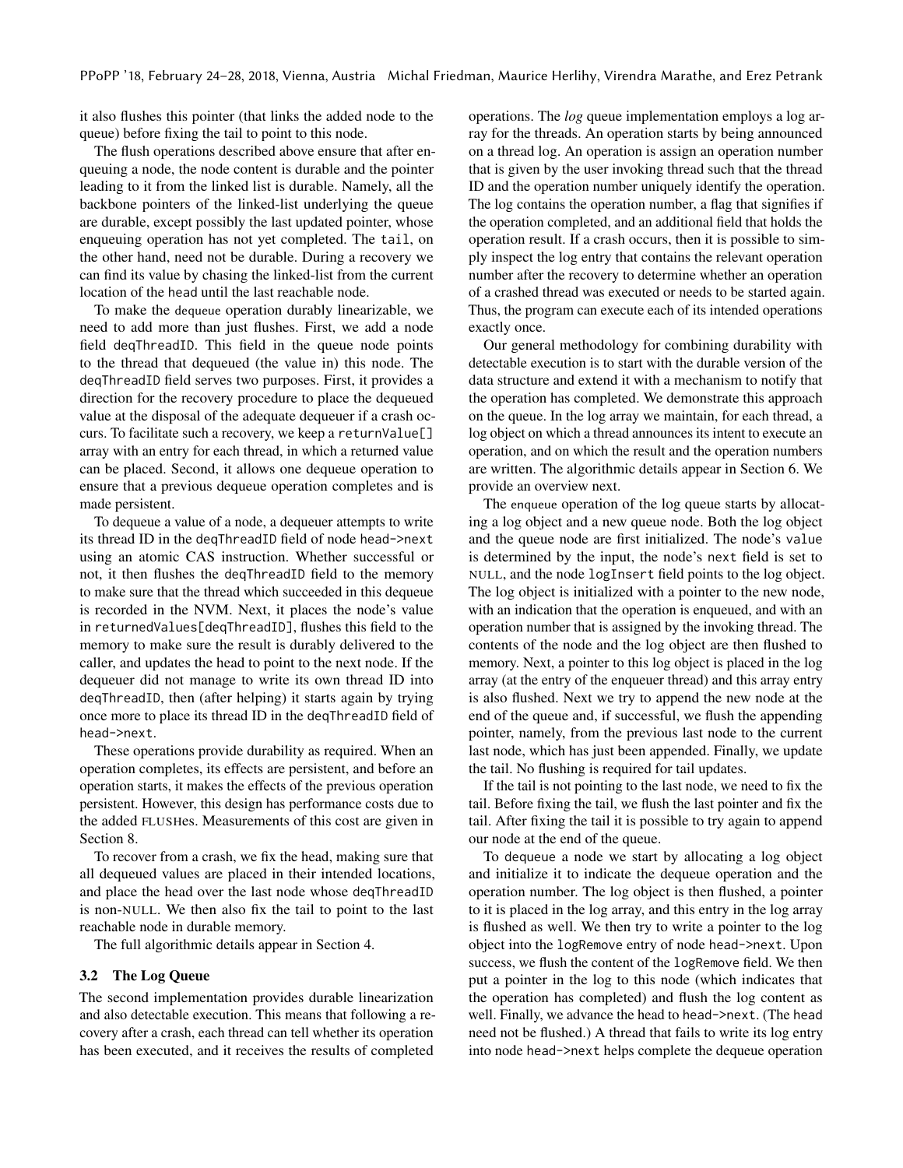it also flushes this pointer (that links the added node to the queue) before fixing the tail to point to this node.

The flush operations described above ensure that after enqueuing a node, the node content is durable and the pointer leading to it from the linked list is durable. Namely, all the backbone pointers of the linked-list underlying the queue are durable, except possibly the last updated pointer, whose enqueuing operation has not yet completed. The tail, on the other hand, need not be durable. During a recovery we can find its value by chasing the linked-list from the current location of the head until the last reachable node.

To make the dequeue operation durably linearizable, we need to add more than just flushes. First, we add a node field deqThreadID. This field in the queue node points to the thread that dequeued (the value in) this node. The deqThreadID field serves two purposes. First, it provides a direction for the recovery procedure to place the dequeued value at the disposal of the adequate dequeuer if a crash occurs. To facilitate such a recovery, we keep a returnValue[] array with an entry for each thread, in which a returned value can be placed. Second, it allows one dequeue operation to ensure that a previous dequeue operation completes and is made persistent.

To dequeue a value of a node, a dequeuer attempts to write its thread ID in the deqThreadID field of node head->next using an atomic CAS instruction. Whether successful or not, it then flushes the deqThreadID field to the memory to make sure that the thread which succeeded in this dequeue is recorded in the NVM. Next, it places the node's value in returnedValues[deqThreadID], flushes this field to the memory to make sure the result is durably delivered to the caller, and updates the head to point to the next node. If the dequeuer did not manage to write its own thread ID into deqThreadID, then (after helping) it starts again by trying once more to place its thread ID in the deqThreadID field of head->next.

These operations provide durability as required. When an operation completes, its effects are persistent, and before an operation starts, it makes the effects of the previous operation persistent. However, this design has performance costs due to the added FLUSHes. Measurements of this cost are given in Section [8.](#page-14-1)

To recover from a crash, we fix the head, making sure that all dequeued values are placed in their intended locations, and place the head over the last node whose deqThreadID is non-NULL. We then also fix the tail to point to the last reachable node in durable memory.

The full algorithmic details appear in Section [4.](#page-6-0)

#### 3.2 The Log Queue

The second implementation provides durable linearization and also detectable execution. This means that following a recovery after a crash, each thread can tell whether its operation has been executed, and it receives the results of completed

operations. The *log* queue implementation employs a log array for the threads. An operation starts by being announced on a thread log. An operation is assign an operation number that is given by the user invoking thread such that the thread ID and the operation number uniquely identify the operation. The log contains the operation number, a flag that signifies if the operation completed, and an additional field that holds the operation result. If a crash occurs, then it is possible to simply inspect the log entry that contains the relevant operation number after the recovery to determine whether an operation of a crashed thread was executed or needs to be started again. Thus, the program can execute each of its intended operations exactly once.

Our general methodology for combining durability with detectable execution is to start with the durable version of the data structure and extend it with a mechanism to notify that the operation has completed. We demonstrate this approach on the queue. In the log array we maintain, for each thread, a log object on which a thread announces its intent to execute an operation, and on which the result and the operation numbers are written. The algorithmic details appear in Section [6.](#page-11-0) We provide an overview next.

The enqueue operation of the log queue starts by allocating a log object and a new queue node. Both the log object and the queue node are first initialized. The node's value is determined by the input, the node's next field is set to NULL, and the node logInsert field points to the log object. The log object is initialized with a pointer to the new node, with an indication that the operation is enqueued, and with an operation number that is assigned by the invoking thread. The contents of the node and the log object are then flushed to memory. Next, a pointer to this log object is placed in the log array (at the entry of the enqueuer thread) and this array entry is also flushed. Next we try to append the new node at the end of the queue and, if successful, we flush the appending pointer, namely, from the previous last node to the current last node, which has just been appended. Finally, we update the tail. No flushing is required for tail updates.

If the tail is not pointing to the last node, we need to fix the tail. Before fixing the tail, we flush the last pointer and fix the tail. After fixing the tail it is possible to try again to append our node at the end of the queue.

To dequeue a node we start by allocating a log object and initialize it to indicate the dequeue operation and the operation number. The log object is then flushed, a pointer to it is placed in the log array, and this entry in the log array is flushed as well. We then try to write a pointer to the log object into the logRemove entry of node head->next. Upon success, we flush the content of the logRemove field. We then put a pointer in the log to this node (which indicates that the operation has completed) and flush the log content as well. Finally, we advance the head to head->next. (The head need not be flushed.) A thread that fails to write its log entry into node head->next helps complete the dequeue operation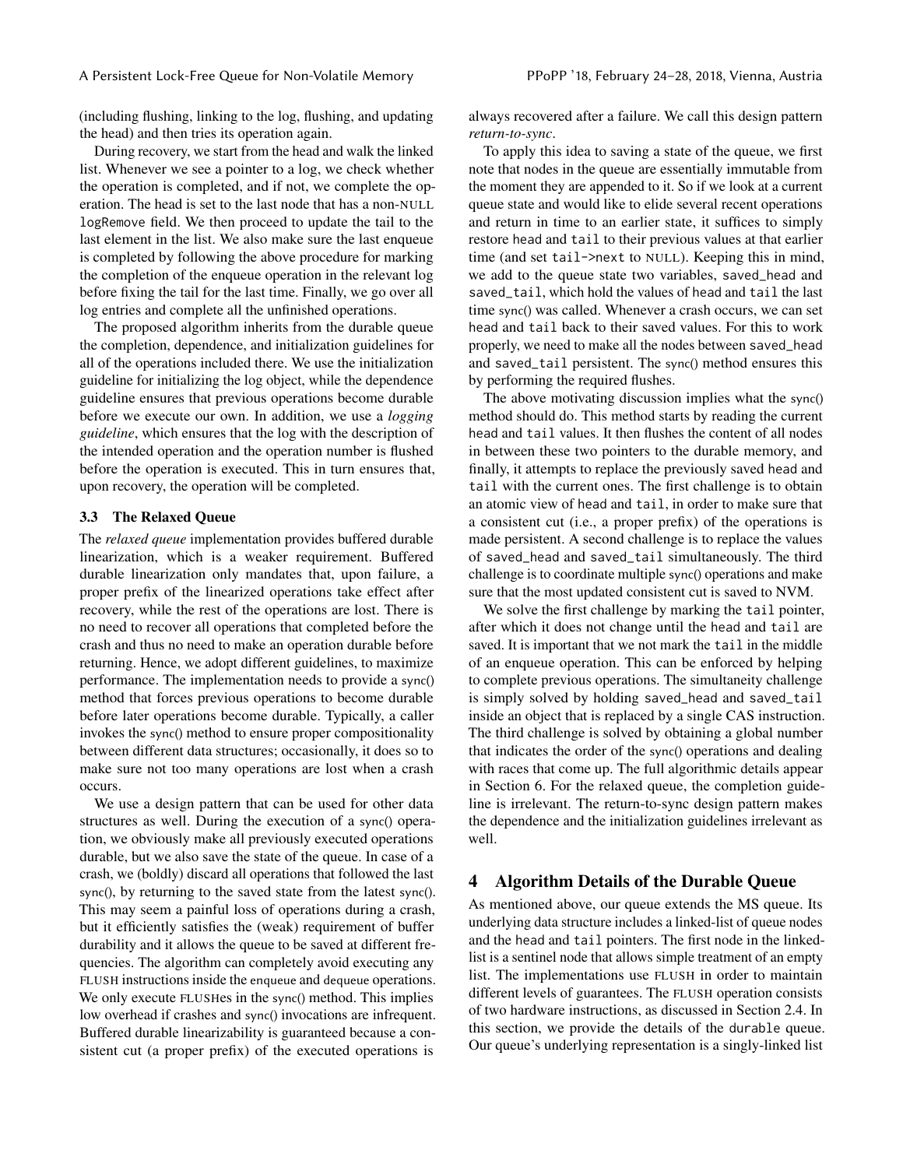(including flushing, linking to the log, flushing, and updating the head) and then tries its operation again.

During recovery, we start from the head and walk the linked list. Whenever we see a pointer to a log, we check whether the operation is completed, and if not, we complete the operation. The head is set to the last node that has a non-NULL logRemove field. We then proceed to update the tail to the last element in the list. We also make sure the last enqueue is completed by following the above procedure for marking the completion of the enqueue operation in the relevant log before fixing the tail for the last time. Finally, we go over all log entries and complete all the unfinished operations.

The proposed algorithm inherits from the durable queue the completion, dependence, and initialization guidelines for all of the operations included there. We use the initialization guideline for initializing the log object, while the dependence guideline ensures that previous operations become durable before we execute our own. In addition, we use a *logging guideline*, which ensures that the log with the description of the intended operation and the operation number is flushed before the operation is executed. This in turn ensures that, upon recovery, the operation will be completed.

## 3.3 The Relaxed Queue

The *relaxed queue* implementation provides buffered durable linearization, which is a weaker requirement. Buffered durable linearization only mandates that, upon failure, a proper prefix of the linearized operations take effect after recovery, while the rest of the operations are lost. There is no need to recover all operations that completed before the crash and thus no need to make an operation durable before returning. Hence, we adopt different guidelines, to maximize performance. The implementation needs to provide a sync() method that forces previous operations to become durable before later operations become durable. Typically, a caller invokes the sync() method to ensure proper compositionality between different data structures; occasionally, it does so to make sure not too many operations are lost when a crash occurs.

We use a design pattern that can be used for other data structures as well. During the execution of a sync() operation, we obviously make all previously executed operations durable, but we also save the state of the queue. In case of a crash, we (boldly) discard all operations that followed the last sync(), by returning to the saved state from the latest sync(). This may seem a painful loss of operations during a crash, but it efficiently satisfies the (weak) requirement of buffer durability and it allows the queue to be saved at different frequencies. The algorithm can completely avoid executing any FLUSH instructions inside the enqueue and dequeue operations. We only execute FLUSHes in the sync() method. This implies low overhead if crashes and sync() invocations are infrequent. Buffered durable linearizability is guaranteed because a consistent cut (a proper prefix) of the executed operations is

always recovered after a failure. We call this design pattern *return-to-sync*.

To apply this idea to saving a state of the queue, we first note that nodes in the queue are essentially immutable from the moment they are appended to it. So if we look at a current queue state and would like to elide several recent operations and return in time to an earlier state, it suffices to simply restore head and tail to their previous values at that earlier time (and set tail->next to NULL). Keeping this in mind, we add to the queue state two variables, saved\_head and saved\_tail, which hold the values of head and tail the last time sync() was called. Whenever a crash occurs, we can set head and tail back to their saved values. For this to work properly, we need to make all the nodes between saved\_head and saved\_tail persistent. The sync() method ensures this by performing the required flushes.

The above motivating discussion implies what the sync() method should do. This method starts by reading the current head and tail values. It then flushes the content of all nodes in between these two pointers to the durable memory, and finally, it attempts to replace the previously saved head and tail with the current ones. The first challenge is to obtain an atomic view of head and tail, in order to make sure that a consistent cut (i.e., a proper prefix) of the operations is made persistent. A second challenge is to replace the values of saved\_head and saved\_tail simultaneously. The third challenge is to coordinate multiple sync() operations and make sure that the most updated consistent cut is saved to NVM.

We solve the first challenge by marking the tail pointer, after which it does not change until the head and tail are saved. It is important that we not mark the tail in the middle of an enqueue operation. This can be enforced by helping to complete previous operations. The simultaneity challenge is simply solved by holding saved\_head and saved\_tail inside an object that is replaced by a single CAS instruction. The third challenge is solved by obtaining a global number that indicates the order of the sync() operations and dealing with races that come up. The full algorithmic details appear in Section [6.](#page-11-0) For the relaxed queue, the completion guideline is irrelevant. The return-to-sync design pattern makes the dependence and the initialization guidelines irrelevant as well.

## <span id="page-6-0"></span>4 Algorithm Details of the Durable Queue

As mentioned above, our queue extends the MS queue. Its underlying data structure includes a linked-list of queue nodes and the head and tail pointers. The first node in the linkedlist is a sentinel node that allows simple treatment of an empty list. The implementations use FLUSH in order to maintain different levels of guarantees. The FLUSH operation consists of two hardware instructions, as discussed in Section [2.4.](#page-3-0) In this section, we provide the details of the durable queue. Our queue's underlying representation is a singly-linked list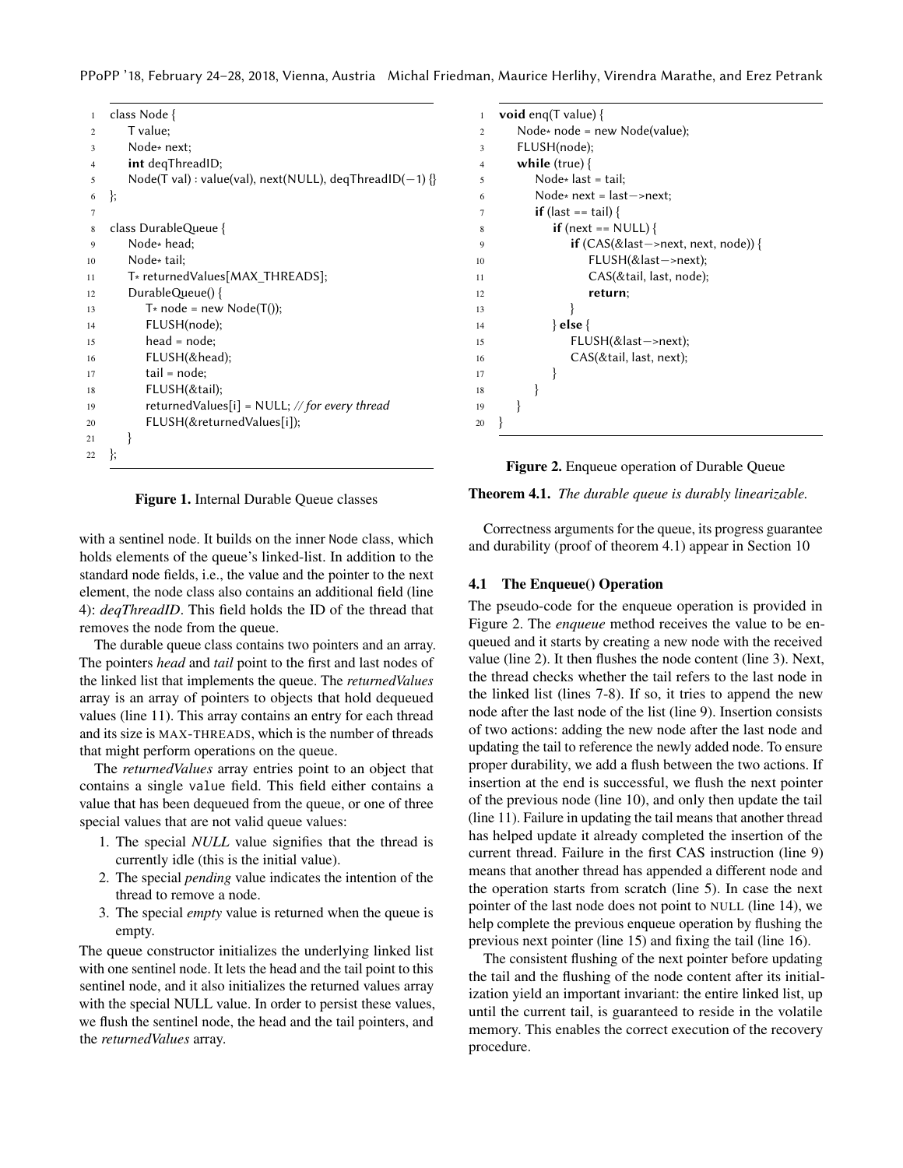PPoPP '18, February 24–28, 2018, Vienna, Austria Michal Friedman, Maurice Herlihy, Virendra Marathe, and Erez Petrank

<span id="page-7-1"></span><span id="page-7-0"></span>

| $\mathbf{1}$   | class Node {                                                 |
|----------------|--------------------------------------------------------------|
| $\overline{c}$ | T value:                                                     |
| 3              | Node* next;                                                  |
| $\overline{4}$ | int deqThreadID;                                             |
| 5              | Node(T val) : value(val), next(NULL), deqThreadID(-1) $\{\}$ |
| 6              | $\cdot$                                                      |
| $\overline{7}$ |                                                              |
| 8              | class DurableQueue {                                         |
| 9              | Node* head:                                                  |
| 10             | Node* tail:                                                  |
| 11             | T* returnedValues[MAX_THREADS];                              |
| 12             | DurableQueue() {                                             |
| 13             | $T*$ node = new Node(T());                                   |
| 14             | FLUSH(node);                                                 |
| 15             | $head = node$ ;                                              |
| 16             | FLUSH(&head);                                                |
| 17             | tail = node;                                                 |
| 18             | FLUSH(&tail);                                                |
| 19             | returnedValues[i] = NULL; // for every thread                |
| 20             | FLUSH(&returnedValues[i]);                                   |
| 21             | ł                                                            |
| 22             | };                                                           |

Figure 1. Internal Durable Queue classes

with a sentinel node. It builds on the inner Node class, which holds elements of the queue's linked-list. In addition to the standard node fields, i.e., the value and the pointer to the next element, the node class also contains an additional field (line [4\)](#page-7-0): *deqThreadID*. This field holds the ID of the thread that removes the node from the queue.

The durable queue class contains two pointers and an array. The pointers *head* and *tail* point to the first and last nodes of the linked list that implements the queue. The *returnedValues* array is an array of pointers to objects that hold dequeued values (line [11\)](#page-7-1). This array contains an entry for each thread and its size is MAX-THREADS, which is the number of threads that might perform operations on the queue.

The *returnedValues* array entries point to an object that contains a single value field. This field either contains a value that has been dequeued from the queue, or one of three special values that are not valid queue values:

- 1. The special *NULL* value signifies that the thread is currently idle (this is the initial value).
- 2. The special *pending* value indicates the intention of the thread to remove a node.
- 3. The special *empty* value is returned when the queue is empty.

The queue constructor initializes the underlying linked list with one sentinel node. It lets the head and the tail point to this sentinel node, and it also initializes the returned values array with the special NULL value. In order to persist these values, we flush the sentinel node, the head and the tail pointers, and the *returnedValues* array.

<span id="page-7-11"></span><span id="page-7-10"></span><span id="page-7-9"></span><span id="page-7-8"></span><span id="page-7-7"></span><span id="page-7-6"></span><span id="page-7-5"></span><span id="page-7-4"></span><span id="page-7-3"></span>

| $Node* node = new Node(value);$<br>$\overline{c}$<br>FLUSH(node);<br>3<br>while (true) $\{$<br>$\overline{4}$<br>Node $*$ last = tail;<br>5<br>Node* $next = last \rightarrow next$ ;<br>6<br><b>if</b> (last == tail) {<br>$\overline{7}$<br>$\mathbf{if}$ (next == NULL) {<br>8<br>if $(CAS(&last->next,next,node))$ {<br>9<br>FLUSH(&last->next);<br>10<br>CAS(&tail, last, node);<br>11<br>return:<br>12<br>ł<br>13<br>$\}$ else $\{$<br>14<br>FLUSH(&last->next);<br>15<br>CAS(&tail, last, next);<br>16<br>}<br>17<br>ł<br>18<br>ł<br>19 | $\mathbf{1}$ | <b>void</b> eng(T value) { |
|------------------------------------------------------------------------------------------------------------------------------------------------------------------------------------------------------------------------------------------------------------------------------------------------------------------------------------------------------------------------------------------------------------------------------------------------------------------------------------------------------------------------------------------------|--------------|----------------------------|
|                                                                                                                                                                                                                                                                                                                                                                                                                                                                                                                                                |              |                            |
|                                                                                                                                                                                                                                                                                                                                                                                                                                                                                                                                                |              |                            |
|                                                                                                                                                                                                                                                                                                                                                                                                                                                                                                                                                |              |                            |
|                                                                                                                                                                                                                                                                                                                                                                                                                                                                                                                                                |              |                            |
|                                                                                                                                                                                                                                                                                                                                                                                                                                                                                                                                                |              |                            |
|                                                                                                                                                                                                                                                                                                                                                                                                                                                                                                                                                |              |                            |
|                                                                                                                                                                                                                                                                                                                                                                                                                                                                                                                                                |              |                            |
|                                                                                                                                                                                                                                                                                                                                                                                                                                                                                                                                                |              |                            |
|                                                                                                                                                                                                                                                                                                                                                                                                                                                                                                                                                |              |                            |
|                                                                                                                                                                                                                                                                                                                                                                                                                                                                                                                                                |              |                            |
|                                                                                                                                                                                                                                                                                                                                                                                                                                                                                                                                                |              |                            |
|                                                                                                                                                                                                                                                                                                                                                                                                                                                                                                                                                |              |                            |
|                                                                                                                                                                                                                                                                                                                                                                                                                                                                                                                                                |              |                            |
|                                                                                                                                                                                                                                                                                                                                                                                                                                                                                                                                                |              |                            |
|                                                                                                                                                                                                                                                                                                                                                                                                                                                                                                                                                |              |                            |
|                                                                                                                                                                                                                                                                                                                                                                                                                                                                                                                                                |              |                            |
|                                                                                                                                                                                                                                                                                                                                                                                                                                                                                                                                                |              |                            |
|                                                                                                                                                                                                                                                                                                                                                                                                                                                                                                                                                |              |                            |
|                                                                                                                                                                                                                                                                                                                                                                                                                                                                                                                                                | 20           |                            |

<span id="page-7-14"></span><span id="page-7-13"></span><span id="page-7-12"></span>Figure 2. Enqueue operation of Durable Queue

<span id="page-7-2"></span>Theorem 4.1. *The durable queue is durably linearizable.*

Correctness arguments for the queue, its progress guarantee and durability (proof of theorem [4.1\)](#page-7-2) appear in Section [10](#page-17-9)

## 4.1 The Enqueue() Operation

The pseudo-code for the enqueue operation is provided in Figure [2.](#page-7-3) The *enqueue* method receives the value to be enqueued and it starts by creating a new node with the received value (line [2\)](#page-7-4). It then flushes the node content (line [3\)](#page-7-5). Next, the thread checks whether the tail refers to the last node in the linked list (lines [7-](#page-7-6)[8\)](#page-7-7). If so, it tries to append the new node after the last node of the list (line [9\)](#page-7-8). Insertion consists of two actions: adding the new node after the last node and updating the tail to reference the newly added node. To ensure proper durability, we add a flush between the two actions. If insertion at the end is successful, we flush the next pointer of the previous node (line [10\)](#page-7-9), and only then update the tail (line [11\)](#page-7-10). Failure in updating the tail means that another thread has helped update it already completed the insertion of the current thread. Failure in the first CAS instruction (line [9\)](#page-7-8) means that another thread has appended a different node and the operation starts from scratch (line [5\)](#page-7-11). In case the next pointer of the last node does not point to NULL (line [14\)](#page-7-12), we help complete the previous enqueue operation by flushing the previous next pointer (line [15\)](#page-7-13) and fixing the tail (line [16\)](#page-7-14).

The consistent flushing of the next pointer before updating the tail and the flushing of the node content after its initialization yield an important invariant: the entire linked list, up until the current tail, is guaranteed to reside in the volatile memory. This enables the correct execution of the recovery procedure.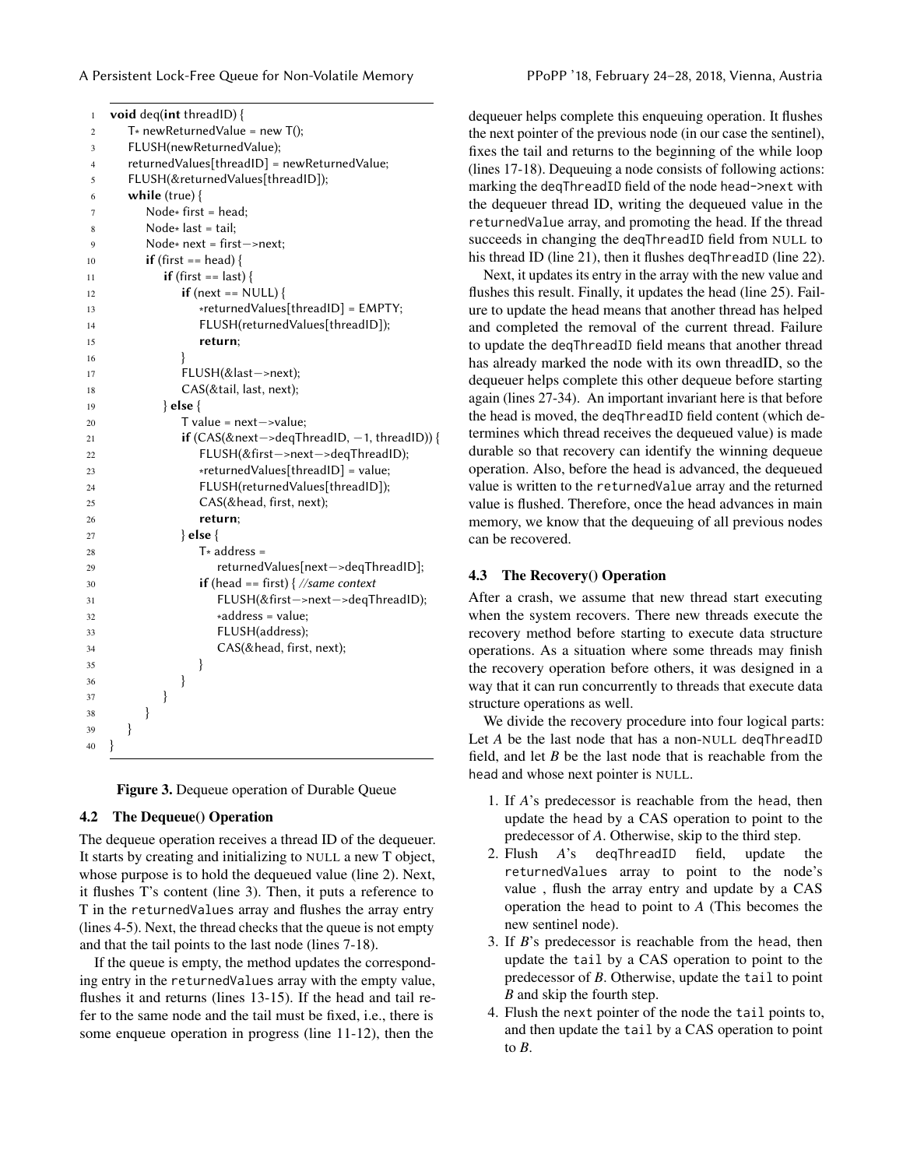<span id="page-8-12"></span><span id="page-8-11"></span><span id="page-8-10"></span><span id="page-8-9"></span><span id="page-8-8"></span><span id="page-8-7"></span><span id="page-8-6"></span><span id="page-8-5"></span><span id="page-8-4"></span><span id="page-8-3"></span><span id="page-8-2"></span><span id="page-8-1"></span><span id="page-8-0"></span>

| $\,1$          | <b>void</b> deq(int threadID) {                    |
|----------------|----------------------------------------------------|
| $\overline{c}$ | T* newReturnedValue = new T();                     |
| 3              | FLUSH(newReturnedValue);                           |
| $\overline{4}$ | returnedValues[threadID] = newReturnedValue;       |
| 5              | FLUSH(&returnedValues[threadID]);                  |
| 6              | while (true) $\{$                                  |
| $\overline{7}$ | Node* first = head:                                |
| 8              | Node* last = tail;                                 |
| 9              | Node* $next = first \rightarrow next;$             |
| 10             | <b>if</b> (first == head) {                        |
| 11             | if (first == last) {                               |
| 12             | $if$ (next == NULL) {                              |
| 13             | *returnedValues[threadID] = EMPTY;                 |
| 14             | FLUSH(returnedValues[threadID]);                   |
| 15             | return;                                            |
| 16             | ł                                                  |
| 17             | FLUSH(&last->next);                                |
| 18             | CAS(&tail, last, next);                            |
| 19             | $\}$ else $\{$                                     |
| 20             | T value = $next$ ->value;                          |
| 21             | if $(CAS(\&next{-} >deqThreadID, -1, threadID))$ { |
| 22             | FLUSH(&first->next->deqThreadID);                  |
| 23             | *returnedValues[threadID] = value;                 |
| 24             | FLUSH(returnedValues[threadID]);                   |
| 25             | CAS(&head, first, next);                           |
| 26             | return:                                            |
| 27             | $\}$ else $\{$                                     |
| 28             | $T*$ address =                                     |
| 29             | returnedValues[next->deqThreadID];                 |
| 30             | if (head == first) $\frac{1}{3}$ //same context    |
| 31             | FLUSH(&first->next->deqThreadID);                  |
| 32             | *address = value;                                  |
| 33             | FLUSH(address);                                    |
| 34             | CAS(&head, first, next);                           |
| 35             | }                                                  |
| 36             | $\}$                                               |
| 37             | $\}$                                               |
| 38             | $\}$                                               |
| 39             | ł                                                  |
| 40             | ł                                                  |
|                |                                                    |

<span id="page-8-15"></span><span id="page-8-14"></span><span id="page-8-13"></span>Figure 3. Dequeue operation of Durable Queue

## 4.2 The Dequeue() Operation

The dequeue operation receives a thread ID of the dequeuer. It starts by creating and initializing to NULL a new T object, whose purpose is to hold the dequeued value (line [2\)](#page-8-0). Next, it flushes T's content (line [3\)](#page-8-1). Then, it puts a reference to T in the returnedValues array and flushes the array entry (lines [4-](#page-8-2)[5\)](#page-8-3). Next, the thread checks that the queue is not empty and that the tail points to the last node (lines [7-](#page-8-4)[18\)](#page-8-5).

If the queue is empty, the method updates the corresponding entry in the returnedValues array with the empty value, flushes it and returns (lines [13-](#page-8-6)[15\)](#page-8-7). If the head and tail refer to the same node and the tail must be fixed, i.e., there is some enqueue operation in progress (line [11-](#page-8-8)[12\)](#page-8-9), then the

dequeuer helps complete this enqueuing operation. It flushes the next pointer of the previous node (in our case the sentinel), fixes the tail and returns to the beginning of the while loop (lines [17-](#page-8-10)[18\)](#page-8-5). Dequeuing a node consists of following actions: marking the deqThreadID field of the node head->next with the dequeuer thread ID, writing the dequeued value in the returnedValue array, and promoting the head. If the thread succeeds in changing the deqThreadID field from NULL to his thread ID (line [21\)](#page-8-11), then it flushes deqThreadID (line [22\)](#page-8-12).

Next, it updates its entry in the array with the new value and flushes this result. Finally, it updates the head (line [25\)](#page-8-13). Failure to update the head means that another thread has helped and completed the removal of the current thread. Failure to update the deqThreadID field means that another thread has already marked the node with its own threadID, so the dequeuer helps complete this other dequeue before starting again (lines [27](#page-8-14)[-34\)](#page-8-15). An important invariant here is that before the head is moved, the deqThreadID field content (which determines which thread receives the dequeued value) is made durable so that recovery can identify the winning dequeue operation. Also, before the head is advanced, the dequeued value is written to the returnedValue array and the returned value is flushed. Therefore, once the head advances in main memory, we know that the dequeuing of all previous nodes can be recovered.

## 4.3 The Recovery() Operation

After a crash, we assume that new thread start executing when the system recovers. There new threads execute the recovery method before starting to execute data structure operations. As a situation where some threads may finish the recovery operation before others, it was designed in a way that it can run concurrently to threads that execute data structure operations as well.

We divide the recovery procedure into four logical parts: Let *A* be the last node that has a non-NULL deqThreadID field, and let *B* be the last node that is reachable from the head and whose next pointer is NULL.

- 1. If *A*'s predecessor is reachable from the head, then update the head by a CAS operation to point to the predecessor of *A*. Otherwise, skip to the third step.
- 2. Flush *A*'s deqThreadID field, update the returnedValues array to point to the node's value , flush the array entry and update by a CAS operation the head to point to *A* (This becomes the new sentinel node).
- 3. If *B*'s predecessor is reachable from the head, then update the tail by a CAS operation to point to the predecessor of *B*. Otherwise, update the tail to point *B* and skip the fourth step.
- 4. Flush the next pointer of the node the tail points to, and then update the tail by a CAS operation to point to *B*.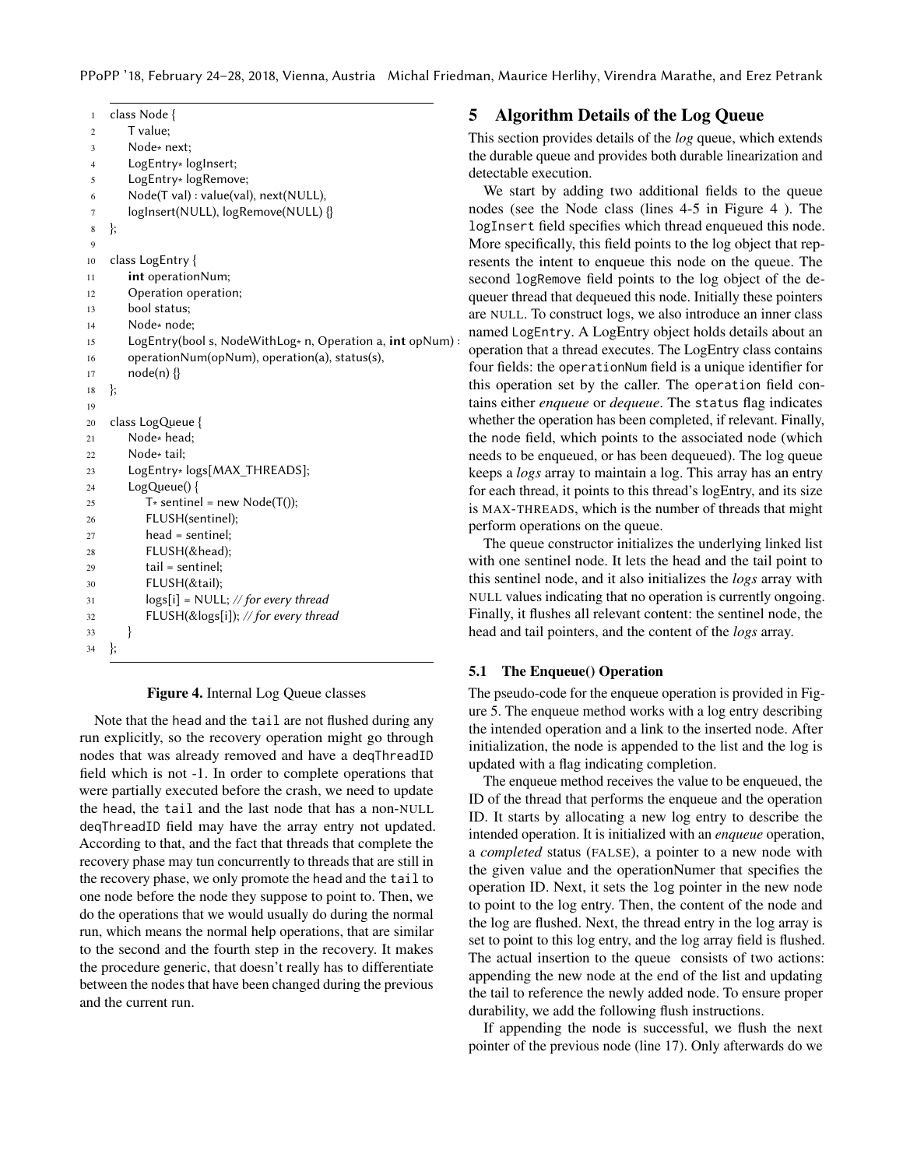<span id="page-9-3"></span><span id="page-9-2"></span><span id="page-9-1"></span>

| 1  | class Node {                                               |  |
|----|------------------------------------------------------------|--|
| 2  | T value:                                                   |  |
| 3  | Node* next;                                                |  |
| 4  | LogEntry* logInsert;                                       |  |
| 5  | LogEntry* logRemove;                                       |  |
| 6  | Node(T val): value(val), next(NULL),                       |  |
| 7  | logInsert(NULL), logRemove(NULL) {}                        |  |
| 8  | };                                                         |  |
| 9  |                                                            |  |
| 10 | class LogEntry {                                           |  |
| 11 | int operationNum;                                          |  |
| 12 | Operation operation;                                       |  |
| 13 | bool status;                                               |  |
| 14 | Node* node:                                                |  |
| 15 | LogEntry(bool s, NodeWithLog* n, Operation a, int opNum) : |  |
| 16 | operationNum(opNum), operation(a), status(s),              |  |
| 17 | $node(n) \{\}$                                             |  |
| 18 | };                                                         |  |
| 19 |                                                            |  |
| 20 | class LogQueue {                                           |  |
| 21 | Node* head:                                                |  |
| 22 | Node* tail:                                                |  |
| 23 | LogEntry* logs[MAX_THREADS];                               |  |
| 24 | LogQueue()                                                 |  |
| 25 | $T*$ sentinel = new Node(T());                             |  |
| 26 | FLUSH(sentinel);                                           |  |
| 27 | $head =$ sentinel;                                         |  |
| 28 | FLUSH(&head);                                              |  |
| 29 | tail = sentinel;                                           |  |
| 30 | FLUSH(&tail);                                              |  |
| 31 | $logs[i] = NULL; // for every thread$                      |  |
| 32 | FLUSH(&logs[i]); // for every thread                       |  |
| 33 | ł                                                          |  |
| 34 | };                                                         |  |

#### Figure 4. Internal Log Queue classes

Note that the head and the tail are not flushed during any run explicitly, so the recovery operation might go through nodes that was already removed and have a deqThreadID field which is not -1. In order to complete operations that were partially executed before the crash, we need to update the head, the tail and the last node that has a non-NULL deqThreadID field may have the array entry not updated. According to that, and the fact that threads that complete the recovery phase may tun concurrently to threads that are still in the recovery phase, we only promote the head and the tail to one node before the node they suppose to point to. Then, we do the operations that we would usually do during the normal run, which means the normal help operations, that are similar to the second and the fourth step in the recovery. It makes the procedure generic, that doesn't really has to differentiate between the nodes that have been changed during the previous and the current run.

## <span id="page-9-0"></span>5 Algorithm Details of the Log Queue

This section provides details of the *log* queue, which extends the durable queue and provides both durable linearization and detectable execution.

We start by adding two additional fields to the queue nodes (see the Node class (lines [4-](#page-9-1)[5](#page-9-2) in Figure [4](#page-9-3) ). The logInsert field specifies which thread enqueued this node. More specifically, this field points to the log object that represents the intent to enqueue this node on the queue. The second logRemove field points to the log object of the dequeuer thread that dequeued this node. Initially these pointers are NULL. To construct logs, we also introduce an inner class named LogEntry. A LogEntry object holds details about an operation that a thread executes. The LogEntry class contains four fields: the operationNum field is a unique identifier for this operation set by the caller. The operation field contains either *enqueue* or *dequeue*. The status flag indicates whether the operation has been completed, if relevant. Finally, the node field, which points to the associated node (which needs to be enqueued, or has been dequeued). The log queue keeps a *logs* array to maintain a log. This array has an entry for each thread, it points to this thread's logEntry, and its size is MAX-THREADS, which is the number of threads that might perform operations on the queue.

The queue constructor initializes the underlying linked list with one sentinel node. It lets the head and the tail point to this sentinel node, and it also initializes the *logs* array with NULL values indicating that no operation is currently ongoing. Finally, it flushes all relevant content: the sentinel node, the head and tail pointers, and the content of the *logs* array.

#### 5.1 The Enqueue() Operation

The pseudo-code for the enqueue operation is provided in Figure [5.](#page-10-0) The enqueue method works with a log entry describing the intended operation and a link to the inserted node. After initialization, the node is appended to the list and the log is updated with a flag indicating completion.

The enqueue method receives the value to be enqueued, the ID of the thread that performs the enqueue and the operation ID. It starts by allocating a new log entry to describe the intended operation. It is initialized with an *enqueue* operation, a *completed* status (FALSE), a pointer to a new node with the given value and the operationNumer that specifies the operation ID. Next, it sets the log pointer in the new node to point to the log entry. Then, the content of the node and the log are flushed. Next, the thread entry in the log array is set to point to this log entry, and the log array field is flushed. The actual insertion to the queue consists of two actions: appending the new node at the end of the list and updating the tail to reference the newly added node. To ensure proper durability, we add the following flush instructions.

If appending the node is successful, we flush the next pointer of the previous node (line [17\)](#page-10-1). Only afterwards do we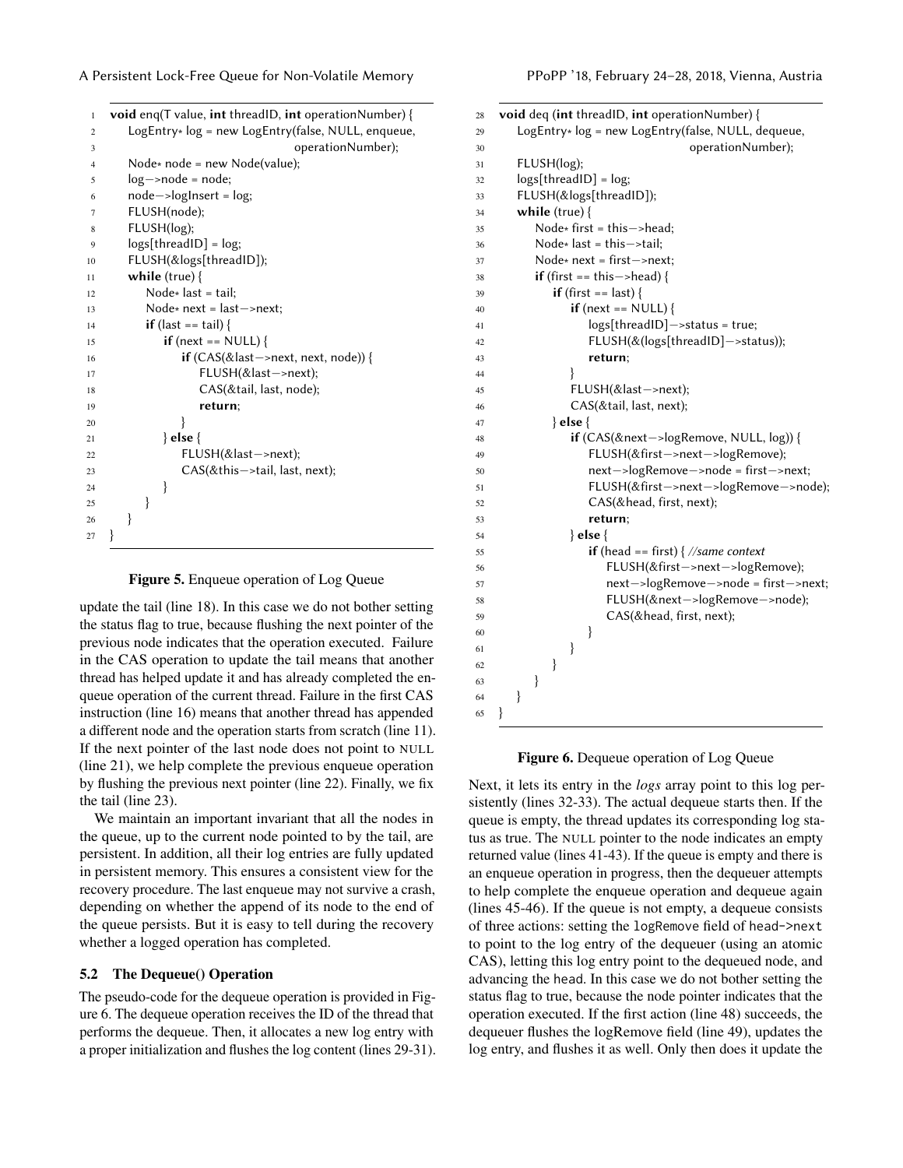<span id="page-10-4"></span><span id="page-10-0"></span>

| void enq(T value, int threadID, int operationNumber) {<br>$\mathbf{1}$ |                                                    |
|------------------------------------------------------------------------|----------------------------------------------------|
| $\mathfrak{2}$                                                         | LogEntry* log = new LogEntry(false, NULL, enqueue, |
|                                                                        | operationNumber);                                  |
| Node* $node = new Node(value);$                                        |                                                    |
| $log \rightarrow node = node;$                                         |                                                    |
| $node \rightarrow logInsert = log;$                                    |                                                    |
| FLUSH(node);                                                           |                                                    |
| FLUSH(log);                                                            |                                                    |
| $\log s[$ threadID] = $\log$ ;                                         |                                                    |
| FLUSH(&logs[threadID]);                                                |                                                    |
| while (true) $\{$                                                      |                                                    |
| Node $*$ last = tail;                                                  |                                                    |
| Node* next = $last$ ->next;                                            |                                                    |
| <b>if</b> (last == tail) {                                             |                                                    |
| if (next == $NULL$ ) {                                                 |                                                    |
|                                                                        | if $(CAS(&last->next,next,node))$ {                |
| FLUSH(&last->next);                                                    |                                                    |
| CAS(&tail, last, node);                                                |                                                    |
| return;                                                                |                                                    |
| ł                                                                      |                                                    |
| $\}$ else $\{$                                                         |                                                    |
| FLUSH(&last->next);                                                    |                                                    |
| CAS(&this->tail, last, next);                                          |                                                    |
| }                                                                      |                                                    |
| }                                                                      |                                                    |
| }                                                                      |                                                    |
| ł                                                                      |                                                    |
|                                                                        |                                                    |

<span id="page-10-7"></span><span id="page-10-6"></span><span id="page-10-5"></span><span id="page-10-3"></span><span id="page-10-2"></span><span id="page-10-1"></span>Figure 5. Enqueue operation of Log Queue

update the tail (line [18\)](#page-10-2). In this case we do not bother setting the status flag to true, because flushing the next pointer of the previous node indicates that the operation executed. Failure in the CAS operation to update the tail means that another thread has helped update it and has already completed the enqueue operation of the current thread. Failure in the first CAS instruction (line [16\)](#page-10-3) means that another thread has appended a different node and the operation starts from scratch (line [11\)](#page-10-4). If the next pointer of the last node does not point to NULL (line [21\)](#page-10-5), we help complete the previous enqueue operation by flushing the previous next pointer (line [22\)](#page-10-6). Finally, we fix the tail (line [23\)](#page-10-7).

We maintain an important invariant that all the nodes in the queue, up to the current node pointed to by the tail, are persistent. In addition, all their log entries are fully updated in persistent memory. This ensures a consistent view for the recovery procedure. The last enqueue may not survive a crash, depending on whether the append of its node to the end of the queue persists. But it is easy to tell during the recovery whether a logged operation has completed.

#### 5.2 The Dequeue() Operation

The pseudo-code for the dequeue operation is provided in Figure [6.](#page-10-8) The dequeue operation receives the ID of the thread that performs the dequeue. Then, it allocates a new log entry with a proper initialization and flushes the log content (lines [29](#page-10-9)[-31\)](#page-10-10).

<span id="page-10-17"></span><span id="page-10-16"></span><span id="page-10-15"></span><span id="page-10-14"></span><span id="page-10-13"></span><span id="page-10-12"></span><span id="page-10-11"></span><span id="page-10-10"></span><span id="page-10-9"></span><span id="page-10-8"></span>

| 28 | <b>void</b> deg (int threadID, int operationNumber) { |
|----|-------------------------------------------------------|
| 29 | LogEntry* log = new LogEntry(false, NULL, dequeue,    |
| 30 | operationNumber);                                     |
| 31 | FLUSH(log);                                           |
| 32 | logs[threadID] = log;                                 |
| 33 | FLUSH(&logs[threadID]);                               |
| 34 | while $(true)$ {                                      |
| 35 | Node* $first = this$ ->head;                          |
| 36 | Node* last = this $-$ >tail;                          |
| 37 | Node* $next = first -$ -next;                         |
| 38 | if (first == this->head) {                            |
| 39 | if (first == last) {                                  |
| 40 | $if$ (next == NULL) {                                 |
| 41 | logs[threadID]->status = true;                        |
| 42 | FLUSH(&(logs[threadID]->status));                     |
| 43 | return;                                               |
| 44 | ł                                                     |
| 45 | FLUSH(&last->next);                                   |
| 46 | CAS(&tail, last, next);                               |
| 47 | $\}$ else $\{$                                        |
| 48 | if (CAS(&next->logRemove, NULL, log)) {               |
| 49 | FLUSH(&first->next->logRemove);                       |
| 50 | next->logRemove->node = first->next;                  |
| 51 | FLUSH(&first->next->logRemove->node);                 |
| 52 | CAS(&head, first, next);                              |
| 53 | return;                                               |
| 54 | $\}$ else $\{$                                        |
| 55 | if (head == first) $\frac{1}{3}$ //same context       |
| 56 | FLUSH(&first->next->logRemove);                       |
| 57 | next->logRemove->node = first->next;                  |
| 58 | FLUSH(&next->logRemove->node);                        |
| 59 | CAS(&head, first, next);                              |
| 60 | ł                                                     |
| 61 | }                                                     |
| 62 | }                                                     |
| 63 | $\}$                                                  |
| 64 | ł                                                     |
| 65 | }                                                     |

#### <span id="page-10-19"></span><span id="page-10-18"></span>Figure 6. Dequeue operation of Log Queue

Next, it lets its entry in the *logs* array point to this log persistently (lines [32-](#page-10-11)[33\)](#page-10-12). The actual dequeue starts then. If the queue is empty, the thread updates its corresponding log status as true. The NULL pointer to the node indicates an empty returned value (lines [41-](#page-10-13)[43\)](#page-10-14). If the queue is empty and there is an enqueue operation in progress, then the dequeuer attempts to help complete the enqueue operation and dequeue again (lines [45](#page-10-15)[-46\)](#page-10-16). If the queue is not empty, a dequeue consists of three actions: setting the logRemove field of head->next to point to the log entry of the dequeuer (using an atomic CAS), letting this log entry point to the dequeued node, and advancing the head. In this case we do not bother setting the status flag to true, because the node pointer indicates that the operation executed. If the first action (line [48\)](#page-10-17) succeeds, the dequeuer flushes the logRemove field (line [49\)](#page-10-18), updates the log entry, and flushes it as well. Only then does it update the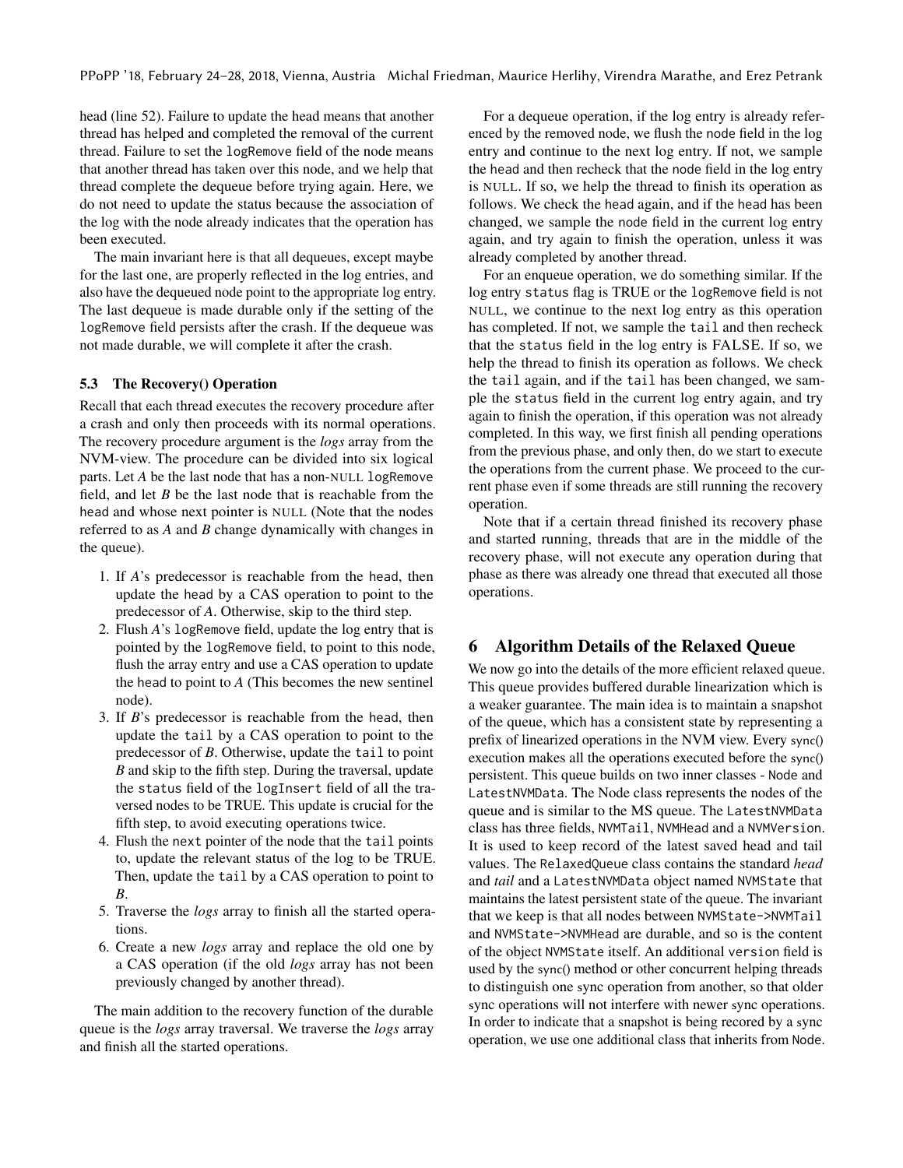head (line [52\)](#page-10-19). Failure to update the head means that another thread has helped and completed the removal of the current thread. Failure to set the logRemove field of the node means that another thread has taken over this node, and we help that thread complete the dequeue before trying again. Here, we do not need to update the status because the association of the log with the node already indicates that the operation has been executed.

The main invariant here is that all dequeues, except maybe for the last one, are properly reflected in the log entries, and also have the dequeued node point to the appropriate log entry. The last dequeue is made durable only if the setting of the logRemove field persists after the crash. If the dequeue was not made durable, we will complete it after the crash.

#### 5.3 The Recovery() Operation

Recall that each thread executes the recovery procedure after a crash and only then proceeds with its normal operations. The recovery procedure argument is the *logs* array from the NVM-view. The procedure can be divided into six logical parts. Let *A* be the last node that has a non-NULL logRemove field, and let *B* be the last node that is reachable from the head and whose next pointer is NULL (Note that the nodes referred to as *A* and *B* change dynamically with changes in the queue).

- 1. If *A*'s predecessor is reachable from the head, then update the head by a CAS operation to point to the predecessor of *A*. Otherwise, skip to the third step.
- 2. Flush *A*'s logRemove field, update the log entry that is pointed by the logRemove field, to point to this node, flush the array entry and use a CAS operation to update the head to point to *A* (This becomes the new sentinel node).
- 3. If *B*'s predecessor is reachable from the head, then update the tail by a CAS operation to point to the predecessor of *B*. Otherwise, update the tail to point *B* and skip to the fifth step. During the traversal, update the status field of the logInsert field of all the traversed nodes to be TRUE. This update is crucial for the fifth step, to avoid executing operations twice.
- 4. Flush the next pointer of the node that the tail points to, update the relevant status of the log to be TRUE. Then, update the tail by a CAS operation to point to *B*.
- 5. Traverse the *logs* array to finish all the started operations.
- 6. Create a new *logs* array and replace the old one by a CAS operation (if the old *logs* array has not been previously changed by another thread).

The main addition to the recovery function of the durable queue is the *logs* array traversal. We traverse the *logs* array and finish all the started operations.

For a dequeue operation, if the log entry is already referenced by the removed node, we flush the node field in the log entry and continue to the next log entry. If not, we sample the head and then recheck that the node field in the log entry is NULL. If so, we help the thread to finish its operation as follows. We check the head again, and if the head has been changed, we sample the node field in the current log entry again, and try again to finish the operation, unless it was already completed by another thread.

For an enqueue operation, we do something similar. If the log entry status flag is TRUE or the logRemove field is not NULL, we continue to the next log entry as this operation has completed. If not, we sample the tail and then recheck that the status field in the log entry is FALSE. If so, we help the thread to finish its operation as follows. We check the tail again, and if the tail has been changed, we sample the status field in the current log entry again, and try again to finish the operation, if this operation was not already completed. In this way, we first finish all pending operations from the previous phase, and only then, do we start to execute the operations from the current phase. We proceed to the current phase even if some threads are still running the recovery operation.

Note that if a certain thread finished its recovery phase and started running, threads that are in the middle of the recovery phase, will not execute any operation during that phase as there was already one thread that executed all those operations.

# <span id="page-11-0"></span>6 Algorithm Details of the Relaxed Queue

We now go into the details of the more efficient relaxed queue. This queue provides buffered durable linearization which is a weaker guarantee. The main idea is to maintain a snapshot of the queue, which has a consistent state by representing a prefix of linearized operations in the NVM view. Every sync() execution makes all the operations executed before the sync() persistent. This queue builds on two inner classes - Node and LatestNVMData. The Node class represents the nodes of the queue and is similar to the MS queue. The LatestNVMData class has three fields, NVMTail, NVMHead and a NVMVersion. It is used to keep record of the latest saved head and tail values. The RelaxedQueue class contains the standard *head* and *tail* and a LatestNVMData object named NVMState that maintains the latest persistent state of the queue. The invariant that we keep is that all nodes between NVMState->NVMTail and NVMState->NVMHead are durable, and so is the content of the object NVMState itself. An additional version field is used by the sync() method or other concurrent helping threads to distinguish one sync operation from another, so that older sync operations will not interfere with newer sync operations. In order to indicate that a snapshot is being recored by a sync operation, we use one additional class that inherits from Node.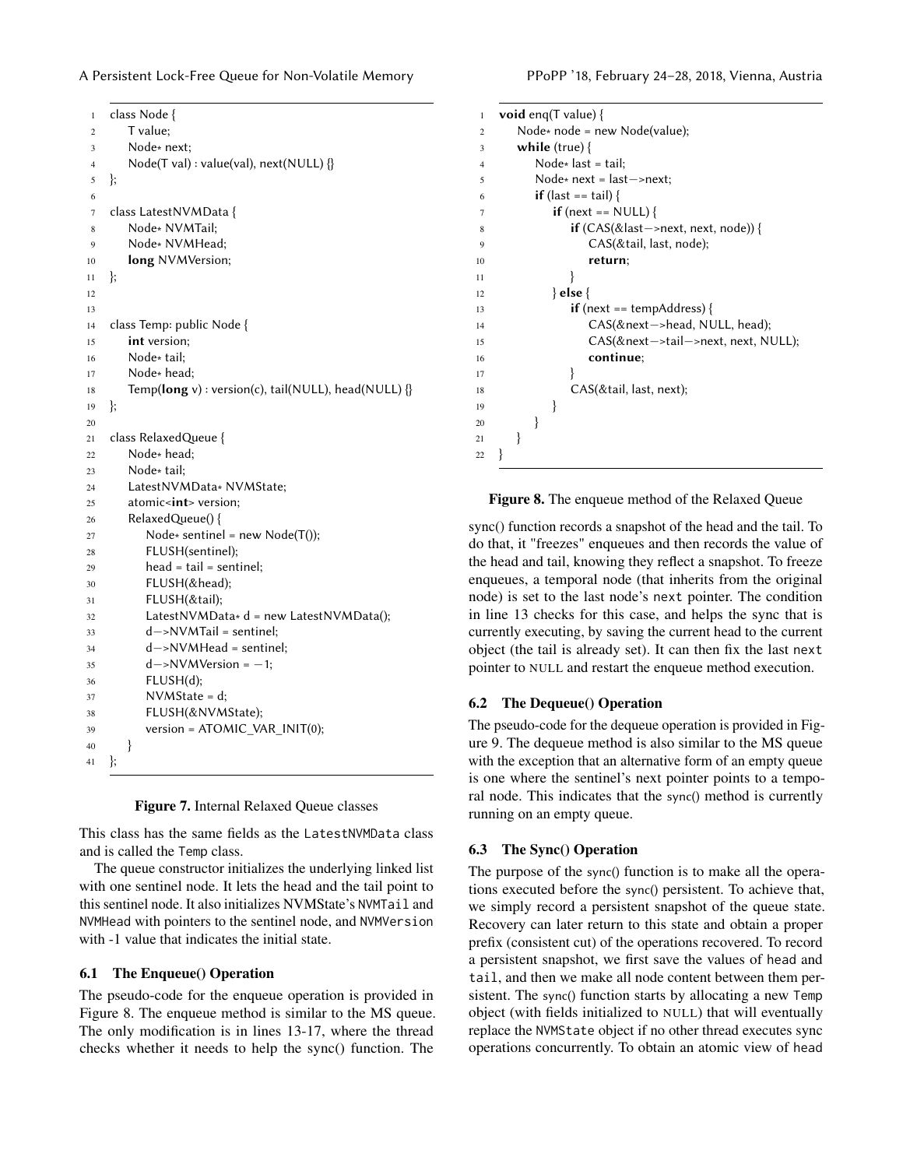| 1              | class Node {                                             |
|----------------|----------------------------------------------------------|
| 2              | T value:                                                 |
| 3              | Node* next:                                              |
| $\overline{4}$ | $Node(T val): value(val), next(NULL) \{$                 |
| 5              | ł;                                                       |
| 6              |                                                          |
| 7              | class LatestNVMData {                                    |
| 8              | Node* NVMTail;                                           |
| 9              | Node* NVMHead;                                           |
| 10             | <b>long NVMVersion;</b>                                  |
| 11             | ł;                                                       |
| 12             |                                                          |
| 13             |                                                          |
| 14             | class Temp: public Node {                                |
| 15             | int version;                                             |
| 16             | Node* tail:                                              |
| 17             | Node* head:                                              |
| 18             | Temp(long v) : version(c), tail(NULL), head(NULL) $\{\}$ |
| 19             | };                                                       |
| 20             |                                                          |
| 21             | class RelaxedQueue {                                     |
| 22             | Node* head:                                              |
| 23             | Node <sub>*</sub> tail:                                  |
| 24             | LatestNVMData* NVMState;                                 |
| 25             | atomic< <b>int</b> > version;                            |
| 26             | RelaxedQueue() {                                         |
| 27             | $Node*$ sentinel = new $Node(T())$ ;                     |
| 28             | FLUSH(sentinel);                                         |
| 29             | $head = tail = sentinel;$                                |
| 30             | FLUSH(&head);                                            |
| 31             | FLUSH(&tail);                                            |
| 32             | LatestNVMData* d = new LatestNVMData();                  |
| 33             | $d \rightarrow NVMTail =$ sentinel;                      |
| 34             | $d \rightarrow NVMHead = sentinel;$                      |
| 35             | $d \rightarrow NVMVersion = -1$ ;                        |
| 36             | FLUSH(d);                                                |
| 37             | $NVMState = d;$                                          |
| 38             | FLUSH(&NVMState);                                        |
| 39             | version = ATOMIC_VAR_INIT(0);                            |
| 40             | }                                                        |
| 41             | };                                                       |



This class has the same fields as the LatestNVMData class and is called the Temp class.

The queue constructor initializes the underlying linked list with one sentinel node. It lets the head and the tail point to this sentinel node. It also initializes NVMState's NVMTail and NVMHead with pointers to the sentinel node, and NVMVersion with -1 value that indicates the initial state.

#### 6.1 The Enqueue() Operation

The pseudo-code for the enqueue operation is provided in Figure [8.](#page-12-0) The enqueue method is similar to the MS queue. The only modification is in lines [13-](#page-12-1)[17,](#page-12-2) where the thread checks whether it needs to help the sync() function. The

<span id="page-12-1"></span><span id="page-12-0"></span>

| 1              | <b>void</b> enq(T value) {                 |
|----------------|--------------------------------------------|
| $\overline{c}$ | $Node* node = new Node(value);$            |
| 3              | while (true) $\{$                          |
| $\overline{4}$ | Node $\star$ last = tail;                  |
| 5              | Node* next = $last$ - next;                |
| 6              | <b>if</b> (last == tail) {                 |
| 7              | $\mathbf{if}$ (next == NULL) {             |
| 8              | <b>if</b> (CAS(&last->next, next, node)) { |
| 9              | CAS(&tail, last, node);                    |
| 10             | return;                                    |
| 11             | ł                                          |
| 12             | $\}$ else $\{$                             |
| 13             | <b>if</b> (next == tempAddress) {          |
| 14             | CAS(&next->head, NULL, head);              |
| 15             | CAS(&next->tail->next, next, NULL);        |
| 16             | continue;                                  |
| 17             | ł                                          |
| 18             | CAS(&tail, last, next);                    |
| 19             | ł                                          |
| 20             | ł                                          |
| 21             | ł                                          |
| 22             |                                            |
|                |                                            |

#### <span id="page-12-2"></span>Figure 8. The enqueue method of the Relaxed Queue

sync() function records a snapshot of the head and the tail. To do that, it "freezes" enqueues and then records the value of the head and tail, knowing they reflect a snapshot. To freeze enqueues, a temporal node (that inherits from the original node) is set to the last node's next pointer. The condition in line [13](#page-12-1) checks for this case, and helps the sync that is currently executing, by saving the current head to the current object (the tail is already set). It can then fix the last next pointer to NULL and restart the enqueue method execution.

#### 6.2 The Dequeue() Operation

The pseudo-code for the dequeue operation is provided in Figure [9.](#page-13-0) The dequeue method is also similar to the MS queue with the exception that an alternative form of an empty queue is one where the sentinel's next pointer points to a temporal node. This indicates that the sync() method is currently running on an empty queue.

#### 6.3 The Sync() Operation

The purpose of the sync() function is to make all the operations executed before the sync() persistent. To achieve that, we simply record a persistent snapshot of the queue state. Recovery can later return to this state and obtain a proper prefix (consistent cut) of the operations recovered. To record a persistent snapshot, we first save the values of head and tail, and then we make all node content between them persistent. The sync() function starts by allocating a new Temp object (with fields initialized to NULL) that will eventually replace the NVMState object if no other thread executes sync operations concurrently. To obtain an atomic view of head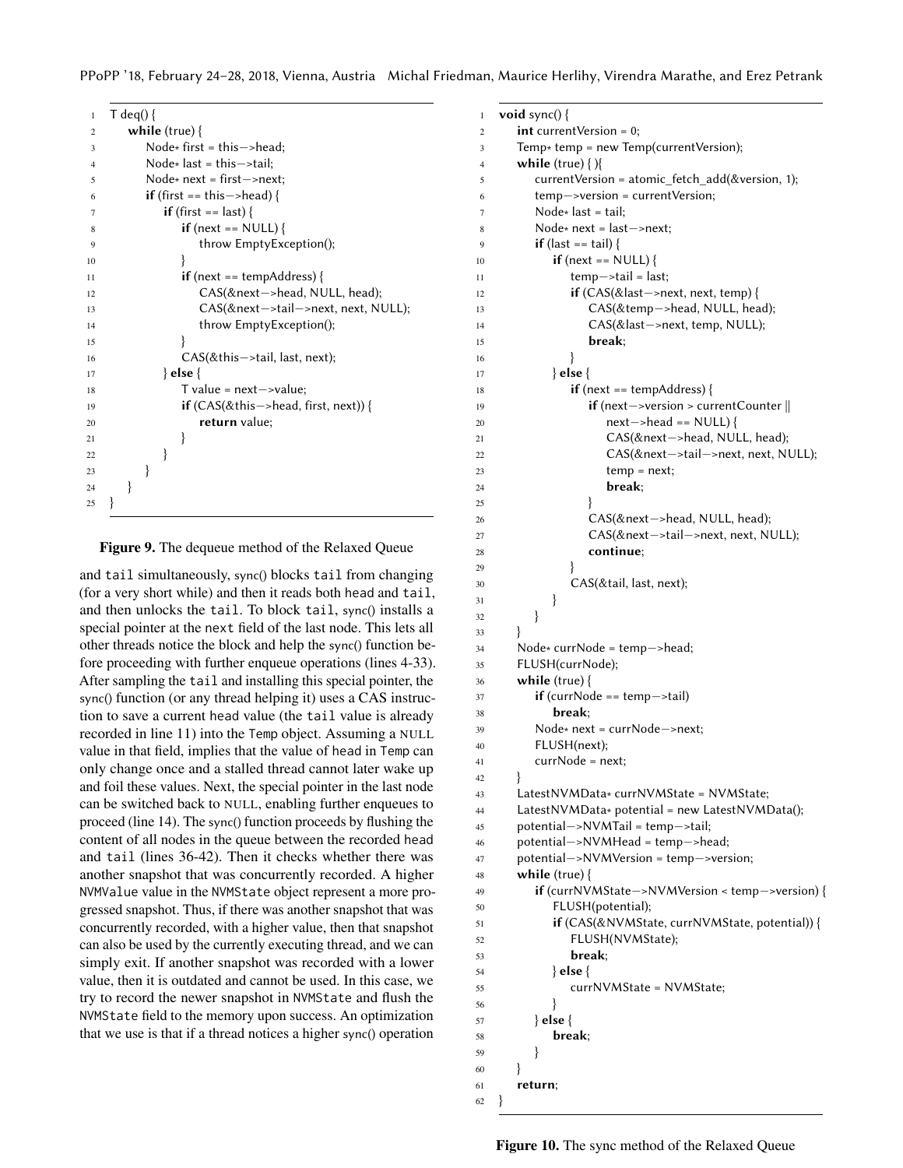|  |  |  |  | PPoPP '18. February 24–28, 2018. Vienna, Austria Michal Friedman, Maurice Herlihy, Virendra Marathe, and Erez Petrank |  |  |  |  |  |
|--|--|--|--|-----------------------------------------------------------------------------------------------------------------------|--|--|--|--|--|
|--|--|--|--|-----------------------------------------------------------------------------------------------------------------------|--|--|--|--|--|

<span id="page-13-0"></span>

| $\mathbf{1}$   | T deq $() \{$                                   |  |
|----------------|-------------------------------------------------|--|
| $\overline{c}$ | while (true) $\{$                               |  |
| 3              | Node* first = this $->$ head:                   |  |
| $\overline{4}$ | Node* last = this $-$ >tail:                    |  |
| 5              | Node* $next = first -$ -next:                   |  |
| 6              | <b>if</b> (first == this->head) {               |  |
| 7              | <b>if</b> (first == last) {                     |  |
| 8              | $\mathbf{if}$ (next == NULL) {                  |  |
| 9              | throw EmptyException();                         |  |
| 10             | ł                                               |  |
| 11             | <b>if</b> (next == tempAddress) {               |  |
| 12             | CAS(&next->head, NULL, head);                   |  |
| 13             | CAS(&next->tail->next, next, NULL);             |  |
| 14             | throw EmptyException();                         |  |
| 15             | ł                                               |  |
| 16             | CAS(&this->tail, last, next);                   |  |
| 17             | $\}$ else $\{$                                  |  |
| 18             | T value = $next$ ->value;                       |  |
| 19             | <b>if</b> $(CAS(\&$ this->head, first, next)) { |  |
| 20             | return value;                                   |  |
| 21             | }                                               |  |
|                | ł                                               |  |
|                | ł                                               |  |
|                | ł                                               |  |
|                |                                                 |  |

<span id="page-13-5"></span><span id="page-13-2"></span>Figure 9. The dequeue method of the Relaxed Queue

and tail simultaneously, sync() blocks tail from changing (for a very short while) and then it reads both head and tail, and then unlocks the tail. To block tail, sync() installs a special pointer at the next field of the last node. This lets all other threads notice the block and help the sync() function before proceeding with further enqueue operations (lines [4-](#page-13-1)[33\)](#page-13-2). After sampling the tail and installing this special pointer, the sync() function (or any thread helping it) uses a CAS instruction to save a current head value (the tail value is already recorded in line [11\)](#page-13-3) into the Temp object. Assuming a NULL value in that field, implies that the value of head in Temp can only change once and a stalled thread cannot later wake up and foil these values. Next, the special pointer in the last node can be switched back to NULL, enabling further enqueues to proceed (line [14\)](#page-13-4). The sync() function proceeds by flushing the content of all nodes in the queue between the recorded head and tail (lines [36](#page-13-5)[-42\)](#page-13-6). Then it checks whether there was another snapshot that was concurrently recorded. A higher NVMValue value in the NVMState object represent a more progressed snapshot. Thus, if there was another snapshot that was concurrently recorded, with a higher value, then that snapshot can also be used by the currently executing thread, and we can simply exit. If another snapshot was recorded with a lower value, then it is outdated and cannot be used. In this case, we try to record the newer snapshot in NVMState and flush the NVMState field to the memory upon success. An optimization that we use is that if a thread notices a higher sync() operation

<span id="page-13-4"></span><span id="page-13-3"></span><span id="page-13-1"></span>

| 1  | <b>void</b> sync() {                                           |
|----|----------------------------------------------------------------|
| 2  | <b>int</b> current Version = $0$ ;                             |
| 3  | Temp* temp = new Temp(currentVersion);                         |
| 4  | while (true) $\{ \}$                                           |
| 5  | currentVersion = atomic_fetch_add(&version, 1);                |
| 6  | $temp \rightarrow version = currentVersion;$                   |
| 7  | Node* last = tail;                                             |
|    | $Node* next = last->next;$                                     |
| 8  | <b>if</b> (last == tail) {                                     |
| 9  |                                                                |
| 10 | $\mathbf{if}$ (next == NULL) {<br>$temp - \text{tail} = last;$ |
| 11 |                                                                |
| 12 | if $(CAS(&last->next,next, temp)$ {                            |
| 13 | CAS(&temp->head, NULL, head);                                  |
| 14 | $CAS(&last->next, temp, NULL);$                                |
| 15 | break:                                                         |
| 16 | ł                                                              |
| 17 | $\}$ else $\{$                                                 |
| 18 | <b>if</b> (next == tempAddress) {                              |
| 19 | <b>if</b> (next->version > current Counter $\parallel$         |
| 20 | $next$ ->head == $NULL$ } {                                    |
| 21 | CAS(&next->head, NULL, head);                                  |
| 22 | CAS(&next->tail->next, next, NULL);                            |
| 23 | $temp = next;$                                                 |
| 24 | break:                                                         |
| 25 | ł                                                              |
| 26 | CAS(&next->head, NULL, head);                                  |
| 27 | CAS(&next->tail->next, next, NULL);                            |
| 28 | continue;                                                      |
| 29 | ł                                                              |
| 30 | CAS(&tail, last, next);                                        |
| 31 | $\big\}$                                                       |
| 32 | $\}$                                                           |
| 33 | ł                                                              |
| 34 | Node* currNode = $temp$ ->head;                                |
| 35 | FLUSH(currNode);                                               |
| 36 | while (true) $\{$                                              |
| 37 | $if$ (currNode == temp->tail)                                  |
| 38 | break:                                                         |
| 39 | $Node* next = currNode \rightarrow next;$                      |
| 40 | FLUSH(next);                                                   |
| 41 | currNode = next;                                               |
| 42 | }                                                              |
| 43 | LatestNVMData* currNVMState = NVMState;                        |
| 44 | LatestNVMData* potential = new LatestNVMData();                |
| 45 | potential->NVMTail = temp->tail;                               |
| 46 | potential->NVMHead = temp->head;                               |
| 47 | potential->NVMVersion = temp->version;                         |
| 48 | while $(true)$ {                                               |
| 49 | <b>if</b> (currNVMState->NVMVersion < temp->version) {         |
| 50 | FLUSH(potential);                                              |
| 51 | if (CAS(&NVMState, currNVMState, potential)) {                 |
| 52 | FLUSH(NVMState);                                               |
| 53 | break:                                                         |
| 54 | $\}$ else $\}$                                                 |
| 55 | currNVMState = NVMState;                                       |
| 56 | ł                                                              |
| 57 | $\}$ else $\{$                                                 |
| 58 | break;                                                         |
| 59 | ł                                                              |
| 60 | ł                                                              |
| 61 | return;                                                        |
|    |                                                                |

Figure 10. The sync method of the Relaxed Queue

<span id="page-13-6"></span>}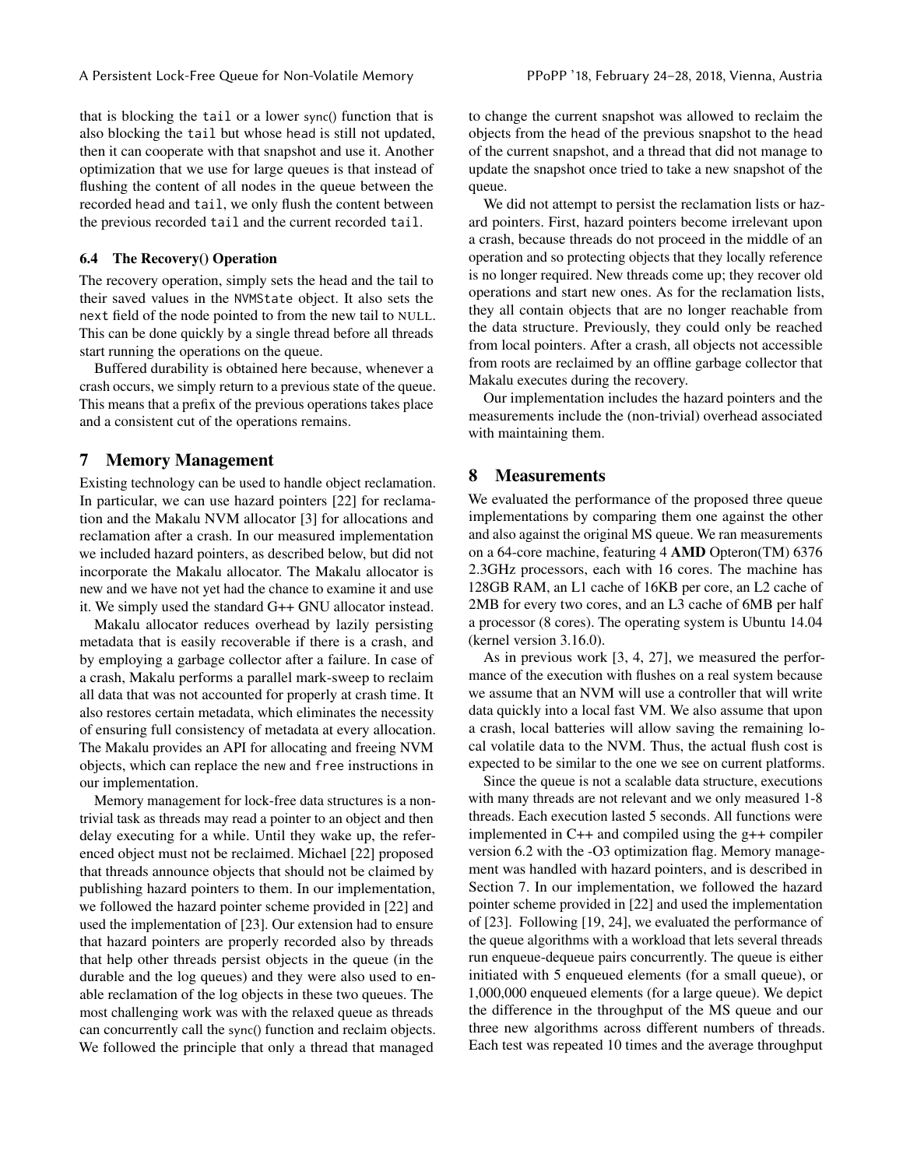that is blocking the tail or a lower sync() function that is also blocking the tail but whose head is still not updated, then it can cooperate with that snapshot and use it. Another optimization that we use for large queues is that instead of flushing the content of all nodes in the queue between the recorded head and tail, we only flush the content between the previous recorded tail and the current recorded tail.

#### 6.4 The Recovery() Operation

The recovery operation, simply sets the head and the tail to their saved values in the NVMState object. It also sets the next field of the node pointed to from the new tail to NULL. This can be done quickly by a single thread before all threads start running the operations on the queue.

Buffered durability is obtained here because, whenever a crash occurs, we simply return to a previous state of the queue. This means that a prefix of the previous operations takes place and a consistent cut of the operations remains.

## <span id="page-14-0"></span>7 Memory Management

Existing technology can be used to handle object reclamation. In particular, we can use hazard pointers [\[22\]](#page-18-13) for reclamation and the Makalu NVM allocator [\[3\]](#page-17-12) for allocations and reclamation after a crash. In our measured implementation we included hazard pointers, as described below, but did not incorporate the Makalu allocator. The Makalu allocator is new and we have not yet had the chance to examine it and use it. We simply used the standard G++ GNU allocator instead.

Makalu allocator reduces overhead by lazily persisting metadata that is easily recoverable if there is a crash, and by employing a garbage collector after a failure. In case of a crash, Makalu performs a parallel mark-sweep to reclaim all data that was not accounted for properly at crash time. It also restores certain metadata, which eliminates the necessity of ensuring full consistency of metadata at every allocation. The Makalu provides an API for allocating and freeing NVM objects, which can replace the new and free instructions in our implementation.

Memory management for lock-free data structures is a nontrivial task as threads may read a pointer to an object and then delay executing for a while. Until they wake up, the referenced object must not be reclaimed. Michael [\[22\]](#page-18-13) proposed that threads announce objects that should not be claimed by publishing hazard pointers to them. In our implementation, we followed the hazard pointer scheme provided in [\[22\]](#page-18-13) and used the implementation of [\[23\]](#page-18-14). Our extension had to ensure that hazard pointers are properly recorded also by threads that help other threads persist objects in the queue (in the durable and the log queues) and they were also used to enable reclamation of the log objects in these two queues. The most challenging work was with the relaxed queue as threads can concurrently call the sync() function and reclaim objects. We followed the principle that only a thread that managed

to change the current snapshot was allowed to reclaim the objects from the head of the previous snapshot to the head of the current snapshot, and a thread that did not manage to update the snapshot once tried to take a new snapshot of the queue.

We did not attempt to persist the reclamation lists or hazard pointers. First, hazard pointers become irrelevant upon a crash, because threads do not proceed in the middle of an operation and so protecting objects that they locally reference is no longer required. New threads come up; they recover old operations and start new ones. As for the reclamation lists, they all contain objects that are no longer reachable from the data structure. Previously, they could only be reached from local pointers. After a crash, all objects not accessible from roots are reclaimed by an offline garbage collector that Makalu executes during the recovery.

Our implementation includes the hazard pointers and the measurements include the (non-trivial) overhead associated with maintaining them.

## <span id="page-14-1"></span>8 Measurements

We evaluated the performance of the proposed three queue implementations by comparing them one against the other and also against the original MS queue. We ran measurements on a 64-core machine, featuring 4 AMD Opteron(TM) 6376 2.3GHz processors, each with 16 cores. The machine has 128GB RAM, an L1 cache of 16KB per core, an L2 cache of 2MB for every two cores, and an L3 cache of 6MB per half a processor (8 cores). The operating system is Ubuntu 14.04 (kernel version 3.16.0).

As in previous work [\[3,](#page-17-12) [4,](#page-17-13) [27\]](#page-18-10), we measured the performance of the execution with flushes on a real system because we assume that an NVM will use a controller that will write data quickly into a local fast VM. We also assume that upon a crash, local batteries will allow saving the remaining local volatile data to the NVM. Thus, the actual flush cost is expected to be similar to the one we see on current platforms.

Since the queue is not a scalable data structure, executions with many threads are not relevant and we only measured 1-8 threads. Each execution lasted 5 seconds. All functions were implemented in C++ and compiled using the g++ compiler version 6.2 with the -O3 optimization flag. Memory management was handled with hazard pointers, and is described in Section [7.](#page-14-0) In our implementation, we followed the hazard pointer scheme provided in [\[22\]](#page-18-13) and used the implementation of [\[23\]](#page-18-14). Following [\[19,](#page-17-14) [24\]](#page-18-9), we evaluated the performance of the queue algorithms with a workload that lets several threads run enqueue-dequeue pairs concurrently. The queue is either initiated with 5 enqueued elements (for a small queue), or 1,000,000 enqueued elements (for a large queue). We depict the difference in the throughput of the MS queue and our three new algorithms across different numbers of threads. Each test was repeated 10 times and the average throughput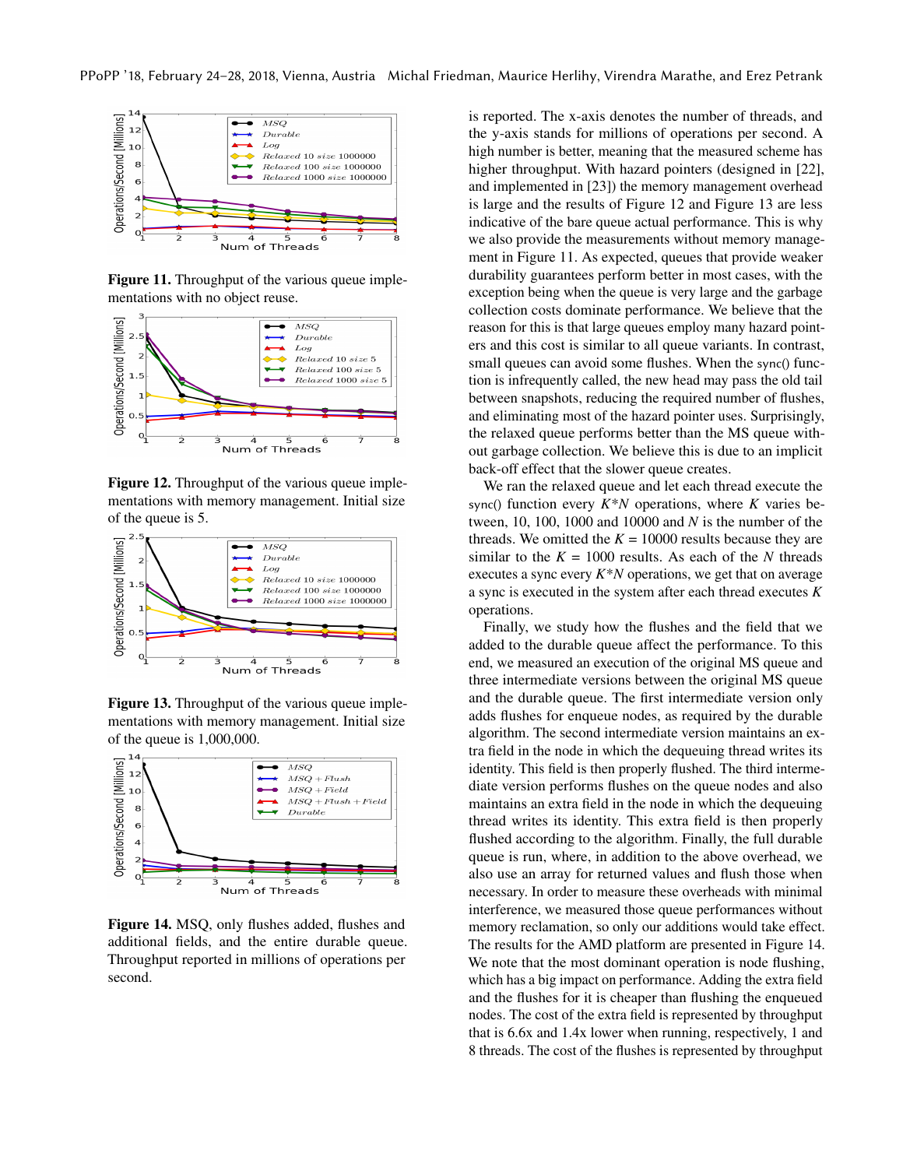<span id="page-15-0"></span>

Figure 11. Throughput of the various queue implementations with no object reuse.



Figure 12. Throughput of the various queue implementations with memory management. Initial size of the queue is 5.



Figure 13. Throughput of the various queue implementations with memory management. Initial size of the queue is 1,000,000.



Figure 14. MSQ, only flushes added, flushes and additional fields, and the entire durable queue. Throughput reported in millions of operations per second.

is reported. The x-axis denotes the number of threads, and the y-axis stands for millions of operations per second. A high number is better, meaning that the measured scheme has higher throughput. With hazard pointers (designed in [\[22\]](#page-18-13), and implemented in [\[23\]](#page-18-14)) the memory management overhead is large and the results of Figure [12](#page-15-0) and Figure [13](#page-15-0) are less indicative of the bare queue actual performance. This is why we also provide the measurements without memory management in Figure [11.](#page-15-0) As expected, queues that provide weaker durability guarantees perform better in most cases, with the exception being when the queue is very large and the garbage collection costs dominate performance. We believe that the reason for this is that large queues employ many hazard pointers and this cost is similar to all queue variants. In contrast, small queues can avoid some flushes. When the sync() function is infrequently called, the new head may pass the old tail between snapshots, reducing the required number of flushes, and eliminating most of the hazard pointer uses. Surprisingly, the relaxed queue performs better than the MS queue without garbage collection. We believe this is due to an implicit back-off effect that the slower queue creates.

We ran the relaxed queue and let each thread execute the sync() function every *K*\**N* operations, where *K* varies between, 10, 100, 1000 and 10000 and *N* is the number of the threads. We omitted the  $K = 10000$  results because they are similar to the  $K = 1000$  results. As each of the *N* threads executes a sync every *K*\**N* operations, we get that on average a sync is executed in the system after each thread executes *K* operations.

Finally, we study how the flushes and the field that we added to the durable queue affect the performance. To this end, we measured an execution of the original MS queue and three intermediate versions between the original MS queue and the durable queue. The first intermediate version only adds flushes for enqueue nodes, as required by the durable algorithm. The second intermediate version maintains an extra field in the node in which the dequeuing thread writes its identity. This field is then properly flushed. The third intermediate version performs flushes on the queue nodes and also maintains an extra field in the node in which the dequeuing thread writes its identity. This extra field is then properly flushed according to the algorithm. Finally, the full durable queue is run, where, in addition to the above overhead, we also use an array for returned values and flush those when necessary. In order to measure these overheads with minimal interference, we measured those queue performances without memory reclamation, so only our additions would take effect. The results for the AMD platform are presented in Figure [14.](#page-15-0) We note that the most dominant operation is node flushing, which has a big impact on performance. Adding the extra field and the flushes for it is cheaper than flushing the enqueued nodes. The cost of the extra field is represented by throughput that is 6.6x and 1.4x lower when running, respectively, 1 and 8 threads. The cost of the flushes is represented by throughput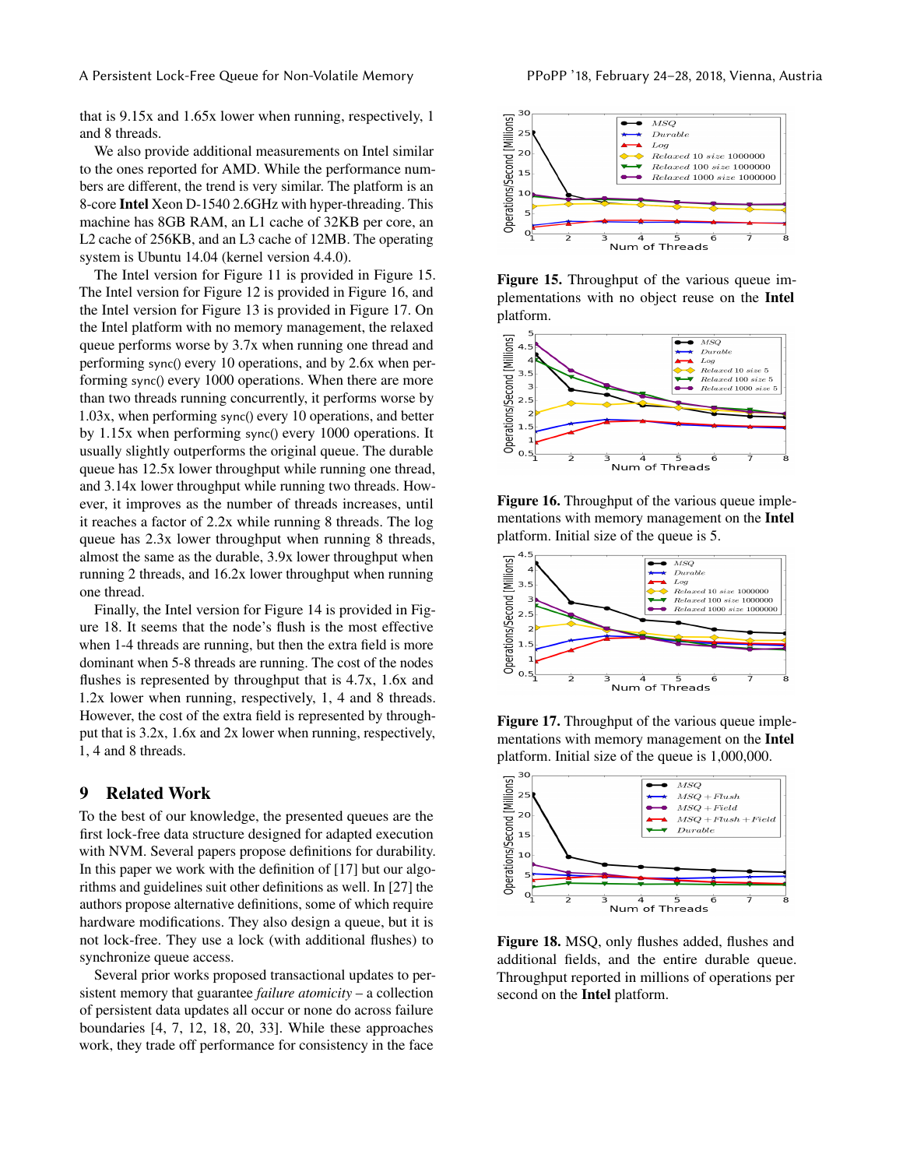that is 9.15x and 1.65x lower when running, respectively, 1 and 8 threads.

We also provide additional measurements on Intel similar to the ones reported for AMD. While the performance numbers are different, the trend is very similar. The platform is an 8-core Intel Xeon D-1540 2.6GHz with hyper-threading. This machine has 8GB RAM, an L1 cache of 32KB per core, an L2 cache of 256KB, and an L3 cache of 12MB. The operating system is Ubuntu 14.04 (kernel version 4.4.0).

The Intel version for Figure [11](#page-15-0) is provided in Figure [15.](#page-16-1) The Intel version for Figure [12](#page-15-0) is provided in Figure [16,](#page-16-1) and the Intel version for Figure [13](#page-15-0) is provided in Figure [17.](#page-16-1) On the Intel platform with no memory management, the relaxed queue performs worse by 3.7x when running one thread and performing sync() every 10 operations, and by 2.6x when performing sync() every 1000 operations. When there are more than two threads running concurrently, it performs worse by 1.03x, when performing sync() every 10 operations, and better by 1.15x when performing sync() every 1000 operations. It usually slightly outperforms the original queue. The durable queue has 12.5x lower throughput while running one thread, and 3.14x lower throughput while running two threads. However, it improves as the number of threads increases, until it reaches a factor of 2.2x while running 8 threads. The log queue has 2.3x lower throughput when running 8 threads, almost the same as the durable, 3.9x lower throughput when running 2 threads, and 16.2x lower throughput when running one thread.

Finally, the Intel version for Figure [14](#page-15-0) is provided in Figure [18.](#page-16-1) It seems that the node's flush is the most effective when 1-4 threads are running, but then the extra field is more dominant when 5-8 threads are running. The cost of the nodes flushes is represented by throughput that is 4.7x, 1.6x and 1.2x lower when running, respectively, 1, 4 and 8 threads. However, the cost of the extra field is represented by throughput that is 3.2x, 1.6x and 2x lower when running, respectively, 1, 4 and 8 threads.

# <span id="page-16-0"></span>9 Related Work

To the best of our knowledge, the presented queues are the first lock-free data structure designed for adapted execution with NVM. Several papers propose definitions for durability. In this paper we work with the definition of [\[17\]](#page-17-7) but our algorithms and guidelines suit other definitions as well. In [\[27\]](#page-18-10) the authors propose alternative definitions, some of which require hardware modifications. They also design a queue, but it is not lock-free. They use a lock (with additional flushes) to synchronize queue access.

Several prior works proposed transactional updates to persistent memory that guarantee *failure atomicity* – a collection of persistent data updates all occur or none do across failure boundaries [\[4,](#page-17-13) [7,](#page-17-15) [12,](#page-17-16) [18,](#page-17-17) [20,](#page-18-15) [33\]](#page-18-16). While these approaches work, they trade off performance for consistency in the face

<span id="page-16-1"></span>

Figure 15. Throughput of the various queue implementations with no object reuse on the Intel platform.



Figure 16. Throughput of the various queue implementations with memory management on the Intel platform. Initial size of the queue is 5.



Figure 17. Throughput of the various queue implementations with memory management on the Intel platform. Initial size of the queue is 1,000,000.



Figure 18. MSQ, only flushes added, flushes and additional fields, and the entire durable queue. Throughput reported in millions of operations per second on the Intel platform.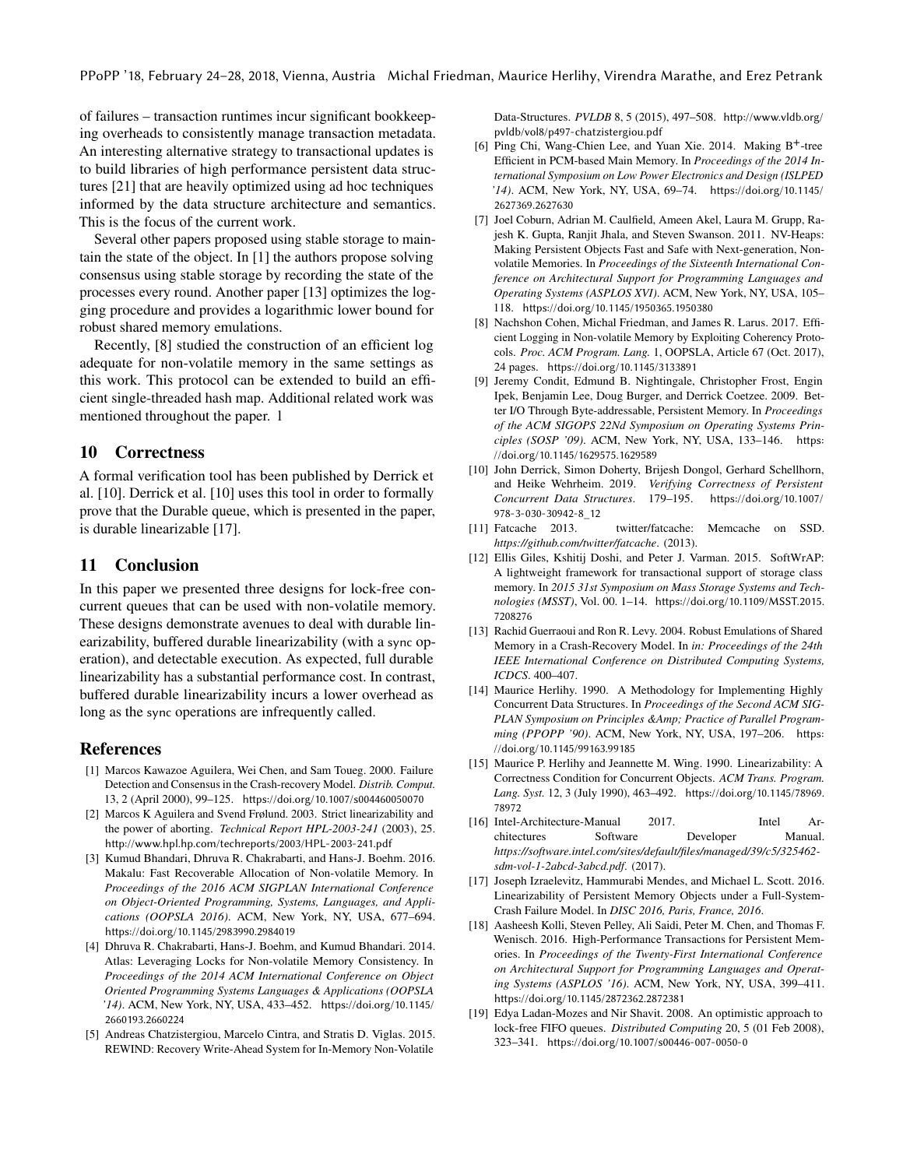of failures – transaction runtimes incur significant bookkeeping overheads to consistently manage transaction metadata. An interesting alternative strategy to transactional updates is to build libraries of high performance persistent data structures [\[21\]](#page-18-1) that are heavily optimized using ad hoc techniques informed by the data structure architecture and semantics. This is the focus of the current work.

Several other papers proposed using stable storage to maintain the state of the object. In [\[1\]](#page-17-18) the authors propose solving consensus using stable storage by recording the state of the processes every round. Another paper [\[13\]](#page-17-6) optimizes the logging procedure and provides a logarithmic lower bound for robust shared memory emulations.

Recently, [\[8\]](#page-17-19) studied the construction of an efficient log adequate for non-volatile memory in the same settings as this work. This protocol can be extended to build an efficient single-threaded hash map. Additional related work was mentioned throughout the paper. l

# <span id="page-17-9"></span>10 Correctness

A formal verification tool has been published by Derrick et al. [\[10\]](#page-17-20). Derrick et al. [\[10\]](#page-17-20) uses this tool in order to formally prove that the Durable queue, which is presented in the paper, is durable linearizable [\[17\]](#page-17-7).

## <span id="page-17-8"></span>11 Conclusion

In this paper we presented three designs for lock-free concurrent queues that can be used with non-volatile memory. These designs demonstrate avenues to deal with durable linearizability, buffered durable linearizability (with a sync operation), and detectable execution. As expected, full durable linearizability has a substantial performance cost. In contrast, buffered durable linearizability incurs a lower overhead as long as the sync operations are infrequently called.

## References

- <span id="page-17-18"></span>[1] Marcos Kawazoe Aguilera, Wei Chen, and Sam Toueg. 2000. Failure Detection and Consensus in the Crash-recovery Model. *Distrib. Comput.* 13, 2 (April 2000), 99–125. <https://doi.org/10.1007/s004460050070>
- <span id="page-17-4"></span>[2] Marcos K Aguilera and Svend Frølund. 2003. Strict linearizability and the power of aborting. *Technical Report HPL-2003-241* (2003), 25. <http://www.hpl.hp.com/techreports/2003/HPL-2003-241.pdf>
- <span id="page-17-12"></span>[3] Kumud Bhandari, Dhruva R. Chakrabarti, and Hans-J. Boehm. 2016. Makalu: Fast Recoverable Allocation of Non-volatile Memory. In *Proceedings of the 2016 ACM SIGPLAN International Conference on Object-Oriented Programming, Systems, Languages, and Applications (OOPSLA 2016)*. ACM, New York, NY, USA, 677–694. <https://doi.org/10.1145/2983990.2984019>
- <span id="page-17-13"></span>[4] Dhruva R. Chakrabarti, Hans-J. Boehm, and Kumud Bhandari. 2014. Atlas: Leveraging Locks for Non-volatile Memory Consistency. In *Proceedings of the 2014 ACM International Conference on Object Oriented Programming Systems Languages & Applications (OOPSLA '14)*. ACM, New York, NY, USA, 433–452. [https://doi.org/10.1145/](https://doi.org/10.1145/2660193.2660224) [2660193.2660224](https://doi.org/10.1145/2660193.2660224)
- <span id="page-17-0"></span>[5] Andreas Chatzistergiou, Marcelo Cintra, and Stratis D. Viglas. 2015. REWIND: Recovery Write-Ahead System for In-Memory Non-Volatile

Data-Structures. *PVLDB* 8, 5 (2015), 497–508. [http://www.vldb.org/](http://www.vldb.org/pvldb/vol8/p497-chatzistergiou.pdf) [pvldb/vol8/p497-chatzistergiou.pdf](http://www.vldb.org/pvldb/vol8/p497-chatzistergiou.pdf)

- <span id="page-17-1"></span>[6] Ping Chi, Wang-Chien Lee, and Yuan Xie. 2014. Making B<sup>+</sup>-tree Efficient in PCM-based Main Memory. In *Proceedings of the 2014 International Symposium on Low Power Electronics and Design (ISLPED '14)*. ACM, New York, NY, USA, 69–74. [https://doi.org/10.1145/](https://doi.org/10.1145/2627369.2627630) [2627369.2627630](https://doi.org/10.1145/2627369.2627630)
- <span id="page-17-15"></span>[7] Joel Coburn, Adrian M. Caulfield, Ameen Akel, Laura M. Grupp, Rajesh K. Gupta, Ranjit Jhala, and Steven Swanson. 2011. NV-Heaps: Making Persistent Objects Fast and Safe with Next-generation, Nonvolatile Memories. In *Proceedings of the Sixteenth International Conference on Architectural Support for Programming Languages and Operating Systems (ASPLOS XVI)*. ACM, New York, NY, USA, 105– 118. <https://doi.org/10.1145/1950365.1950380>
- <span id="page-17-19"></span>[8] Nachshon Cohen, Michal Friedman, and James R. Larus. 2017. Efficient Logging in Non-volatile Memory by Exploiting Coherency Protocols. *Proc. ACM Program. Lang.* 1, OOPSLA, Article 67 (Oct. 2017), 24 pages. <https://doi.org/10.1145/3133891>
- <span id="page-17-5"></span>[9] Jeremy Condit, Edmund B. Nightingale, Christopher Frost, Engin Ipek, Benjamin Lee, Doug Burger, and Derrick Coetzee. 2009. Better I/O Through Byte-addressable, Persistent Memory. In *Proceedings of the ACM SIGOPS 22Nd Symposium on Operating Systems Principles (SOSP '09)*. ACM, New York, NY, USA, 133–146. [https:](https://doi.org/10.1145/1629575.1629589) [//doi.org/10.1145/1629575.1629589](https://doi.org/10.1145/1629575.1629589)
- <span id="page-17-20"></span>[10] John Derrick, Simon Doherty, Brijesh Dongol, Gerhard Schellhorn, and Heike Wehrheim. 2019. *Verifying Correctness of Persistent Concurrent Data Structures*. 179–195. [https://doi.org/10.1007/](https://doi.org/10.1007/978-3-030-30942-8_12) [978-3-030-30942-8\\_12](https://doi.org/10.1007/978-3-030-30942-8_12)
- <span id="page-17-2"></span>[11] Fatcache 2013. twitter/fatcache: Memcache on SSD. *https://github.com/twitter/fatcache*. (2013).
- <span id="page-17-16"></span>[12] Ellis Giles, Kshitij Doshi, and Peter J. Varman. 2015. SoftWrAP: A lightweight framework for transactional support of storage class memory. In *2015 31st Symposium on Mass Storage Systems and Technologies (MSST)*, Vol. 00. 1–14. [https://doi.org/10.1109/MSST.2015.](https://doi.org/10.1109/MSST.2015.7208276) [7208276](https://doi.org/10.1109/MSST.2015.7208276)
- <span id="page-17-6"></span>[13] Rachid Guerraoui and Ron R. Levy. 2004. Robust Emulations of Shared Memory in a Crash-Recovery Model. In *in: Proceedings of the 24th IEEE International Conference on Distributed Computing Systems, ICDCS*. 400–407.
- <span id="page-17-10"></span>[14] Maurice Herlihy. 1990. A Methodology for Implementing Highly Concurrent Data Structures. In *Proceedings of the Second ACM SIG-PLAN Symposium on Principles &Amp; Practice of Parallel Programming (PPOPP '90)*. ACM, New York, NY, USA, 197–206. [https:](https://doi.org/10.1145/99163.99185) [//doi.org/10.1145/99163.99185](https://doi.org/10.1145/99163.99185)
- <span id="page-17-3"></span>[15] Maurice P. Herlihy and Jeannette M. Wing. 1990. Linearizability: A Correctness Condition for Concurrent Objects. *ACM Trans. Program. Lang. Syst.* 12, 3 (July 1990), 463–492. [https://doi.org/10.1145/78969.](https://doi.org/10.1145/78969.78972) [78972](https://doi.org/10.1145/78969.78972)
- <span id="page-17-11"></span>[16] Intel-Architecture-Manual 2017. Intel Architectures Software Developer Manual. *https://software.intel.com/sites/default/files/managed/39/c5/325462 sdm-vol-1-2abcd-3abcd.pdf*. (2017).
- <span id="page-17-7"></span>[17] Joseph Izraelevitz, Hammurabi Mendes, and Michael L. Scott. 2016. Linearizability of Persistent Memory Objects under a Full-System-Crash Failure Model. In *DISC 2016, Paris, France, 2016*.
- <span id="page-17-17"></span>[18] Aasheesh Kolli, Steven Pelley, Ali Saidi, Peter M. Chen, and Thomas F. Wenisch. 2016. High-Performance Transactions for Persistent Memories. In *Proceedings of the Twenty-First International Conference on Architectural Support for Programming Languages and Operating Systems (ASPLOS '16)*. ACM, New York, NY, USA, 399–411. <https://doi.org/10.1145/2872362.2872381>
- <span id="page-17-14"></span>[19] Edya Ladan-Mozes and Nir Shavit. 2008. An optimistic approach to lock-free FIFO queues. *Distributed Computing* 20, 5 (01 Feb 2008), 323–341. <https://doi.org/10.1007/s00446-007-0050-0>